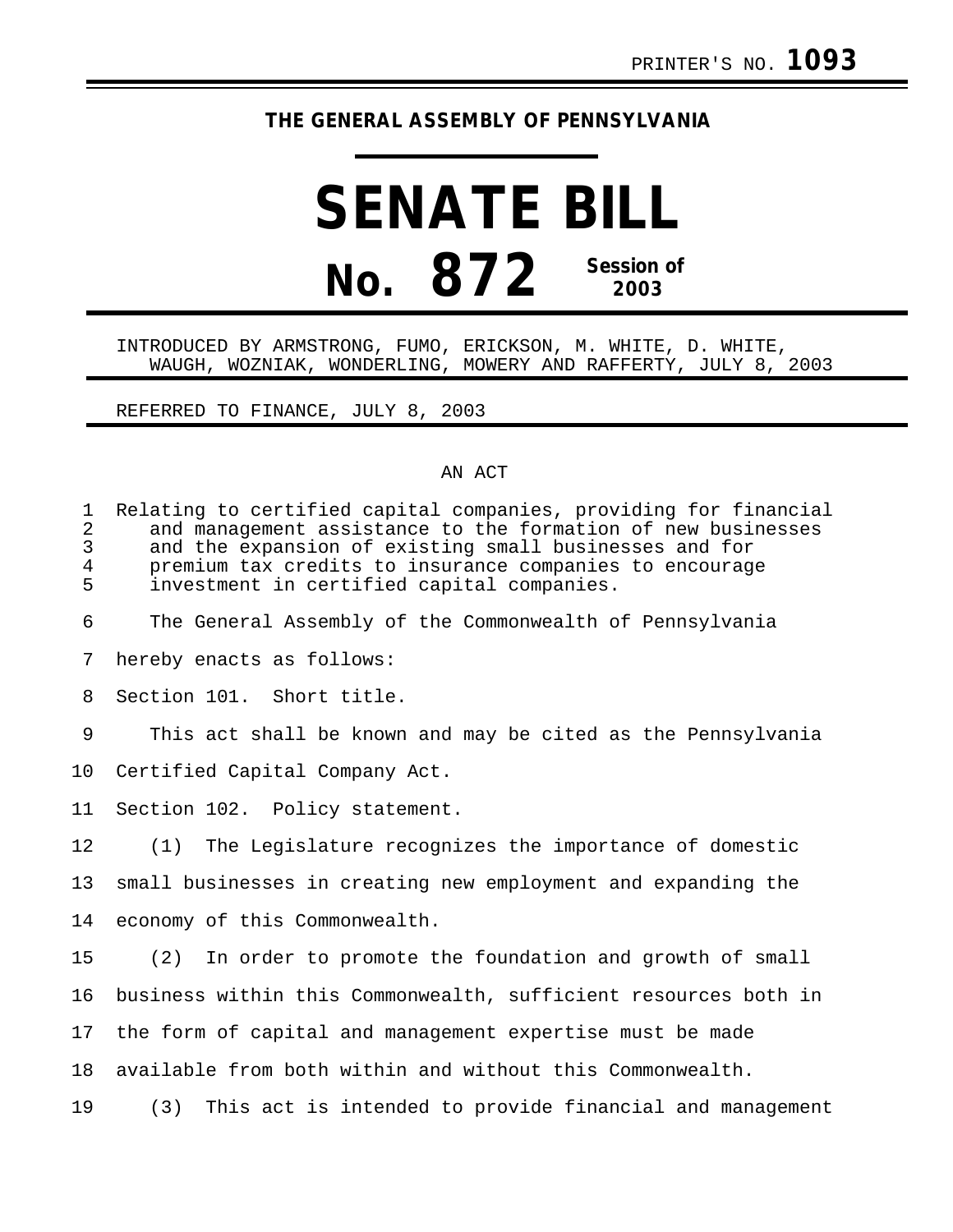## **THE GENERAL ASSEMBLY OF PENNSYLVANIA**

## **SENATE BILL No. 872 Session of 2003**

## INTRODUCED BY ARMSTRONG, FUMO, ERICKSON, M. WHITE, D. WHITE, WAUGH, WOZNIAK, WONDERLING, MOWERY AND RAFFERTY, JULY 8, 2003

REFERRED TO FINANCE, JULY 8, 2003

## AN ACT

| $\mathbf{1}$<br>2<br>3<br>4<br>5 | Relating to certified capital companies, providing for financial<br>and management assistance to the formation of new businesses<br>and the expansion of existing small businesses and for<br>premium tax credits to insurance companies to encourage<br>investment in certified capital companies. |
|----------------------------------|-----------------------------------------------------------------------------------------------------------------------------------------------------------------------------------------------------------------------------------------------------------------------------------------------------|
| 6                                | The General Assembly of the Commonwealth of Pennsylvania                                                                                                                                                                                                                                            |
| 7                                | hereby enacts as follows:                                                                                                                                                                                                                                                                           |
| 8                                | Section 101. Short title.                                                                                                                                                                                                                                                                           |
| 9                                | This act shall be known and may be cited as the Pennsylvania                                                                                                                                                                                                                                        |
| 10                               | Certified Capital Company Act.                                                                                                                                                                                                                                                                      |
| 11                               | Section 102. Policy statement.                                                                                                                                                                                                                                                                      |
| 12                               | (1) The Legislature recognizes the importance of domestic                                                                                                                                                                                                                                           |
| 13                               | small businesses in creating new employment and expanding the                                                                                                                                                                                                                                       |
| 14                               | economy of this Commonwealth.                                                                                                                                                                                                                                                                       |
| 15                               | (2) In order to promote the foundation and growth of small                                                                                                                                                                                                                                          |
| 16                               | business within this Commonwealth, sufficient resources both in                                                                                                                                                                                                                                     |
| 17                               | the form of capital and management expertise must be made                                                                                                                                                                                                                                           |
| 18                               | available from both within and without this Commonwealth.                                                                                                                                                                                                                                           |
| 19                               | This act is intended to provide financial and management<br>(3)                                                                                                                                                                                                                                     |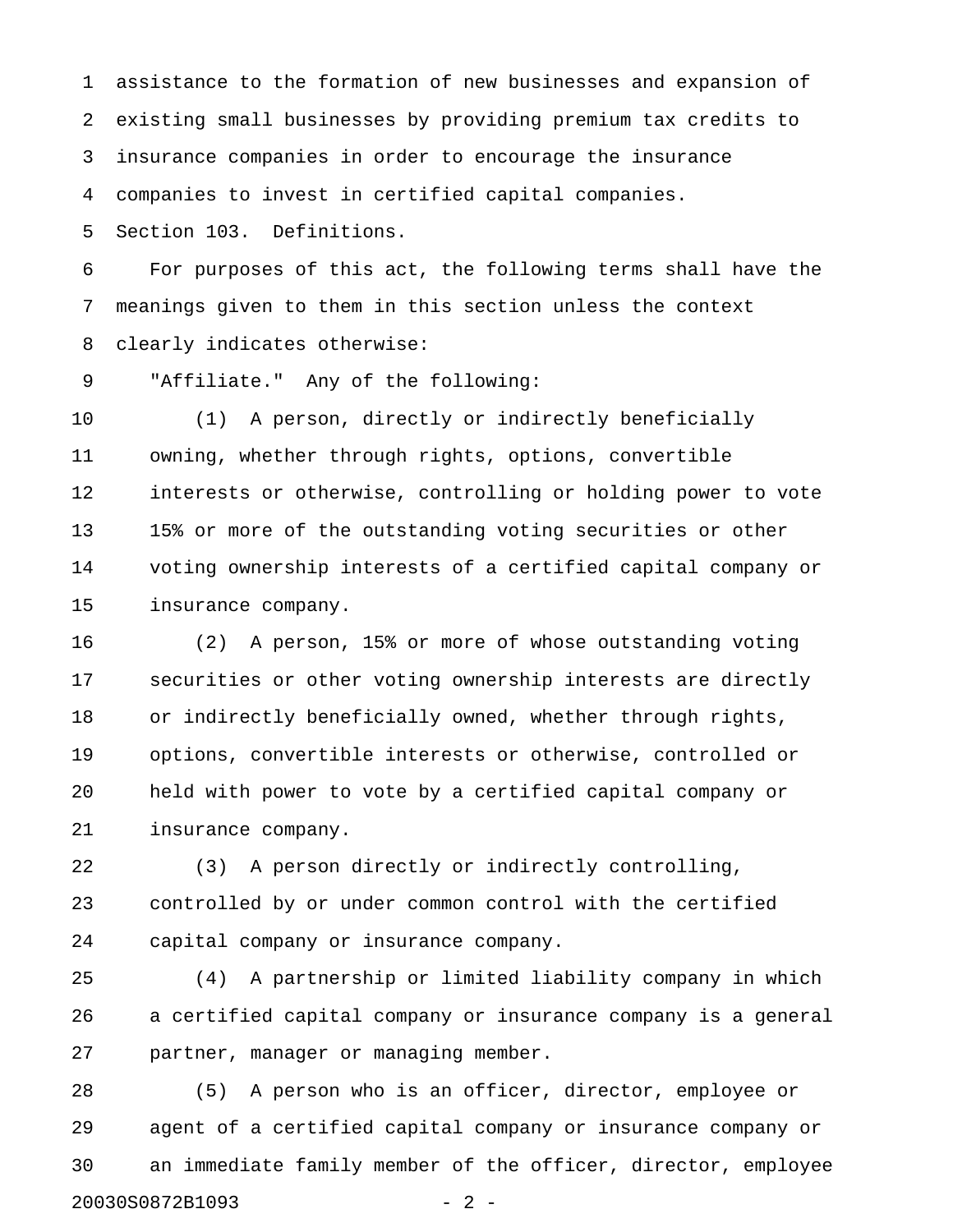1 assistance to the formation of new businesses and expansion of 2 existing small businesses by providing premium tax credits to 3 insurance companies in order to encourage the insurance 4 companies to invest in certified capital companies.

5 Section 103. Definitions.

6 For purposes of this act, the following terms shall have the 7 meanings given to them in this section unless the context 8 clearly indicates otherwise:

9 "Affiliate." Any of the following:

10 (1) A person, directly or indirectly beneficially 11 owning, whether through rights, options, convertible 12 interests or otherwise, controlling or holding power to vote 13 15% or more of the outstanding voting securities or other 14 voting ownership interests of a certified capital company or 15 insurance company.

16 (2) A person, 15% or more of whose outstanding voting 17 securities or other voting ownership interests are directly 18 or indirectly beneficially owned, whether through rights, 19 options, convertible interests or otherwise, controlled or 20 held with power to vote by a certified capital company or 21 insurance company.

22 (3) A person directly or indirectly controlling, 23 controlled by or under common control with the certified 24 capital company or insurance company.

25 (4) A partnership or limited liability company in which 26 a certified capital company or insurance company is a general 27 partner, manager or managing member.

28 (5) A person who is an officer, director, employee or 29 agent of a certified capital company or insurance company or 30 an immediate family member of the officer, director, employee 20030S0872B1093 - 2 -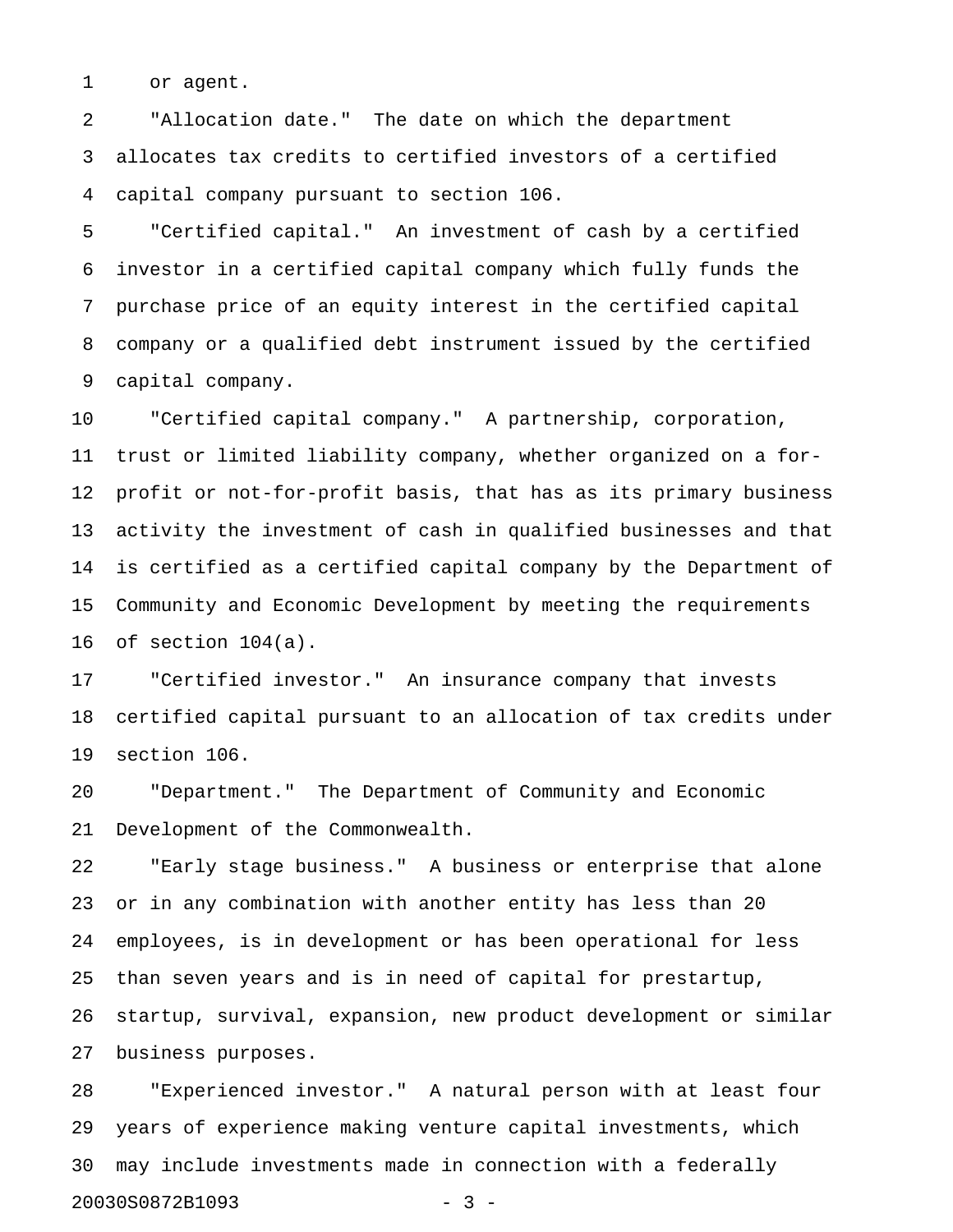1 or agent.

2 "Allocation date." The date on which the department 3 allocates tax credits to certified investors of a certified 4 capital company pursuant to section 106.

5 "Certified capital." An investment of cash by a certified 6 investor in a certified capital company which fully funds the 7 purchase price of an equity interest in the certified capital 8 company or a qualified debt instrument issued by the certified 9 capital company.

10 "Certified capital company." A partnership, corporation, 11 trust or limited liability company, whether organized on a for-12 profit or not-for-profit basis, that has as its primary business 13 activity the investment of cash in qualified businesses and that 14 is certified as a certified capital company by the Department of 15 Community and Economic Development by meeting the requirements 16 of section 104(a).

17 "Certified investor." An insurance company that invests 18 certified capital pursuant to an allocation of tax credits under 19 section 106.

20 "Department." The Department of Community and Economic 21 Development of the Commonwealth.

22 "Early stage business." A business or enterprise that alone 23 or in any combination with another entity has less than 20 24 employees, is in development or has been operational for less 25 than seven years and is in need of capital for prestartup, 26 startup, survival, expansion, new product development or similar 27 business purposes.

28 "Experienced investor." A natural person with at least four 29 years of experience making venture capital investments, which 30 may include investments made in connection with a federally 20030S0872B1093 - 3 -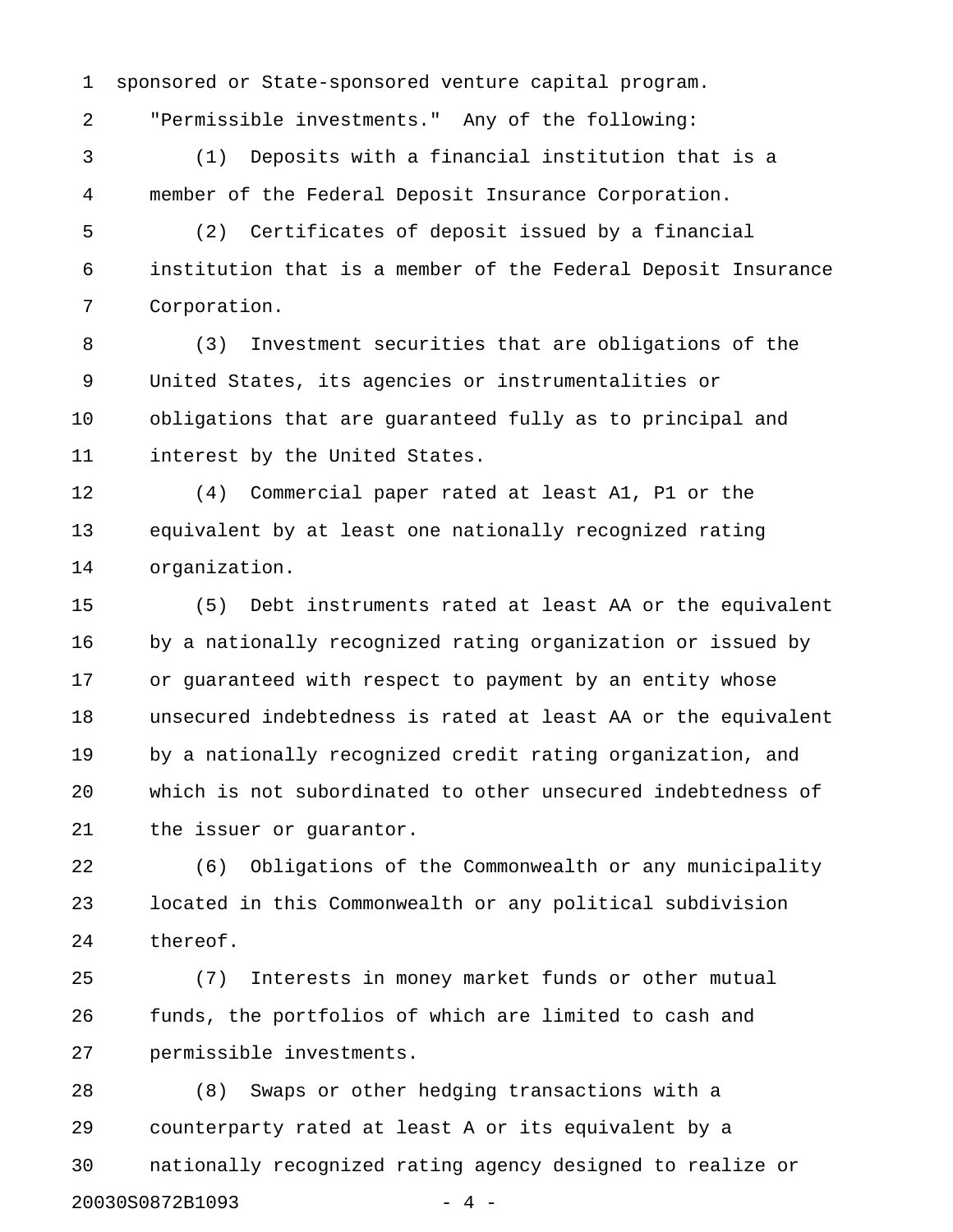1 sponsored or State-sponsored venture capital program.

2 "Permissible investments." Any of the following:

3 (1) Deposits with a financial institution that is a 4 member of the Federal Deposit Insurance Corporation.

5 (2) Certificates of deposit issued by a financial 6 institution that is a member of the Federal Deposit Insurance 7 Corporation.

8 (3) Investment securities that are obligations of the 9 United States, its agencies or instrumentalities or 10 obligations that are guaranteed fully as to principal and 11 interest by the United States.

12 (4) Commercial paper rated at least A1, P1 or the 13 equivalent by at least one nationally recognized rating 14 organization.

15 (5) Debt instruments rated at least AA or the equivalent 16 by a nationally recognized rating organization or issued by 17 or guaranteed with respect to payment by an entity whose 18 unsecured indebtedness is rated at least AA or the equivalent 19 by a nationally recognized credit rating organization, and 20 which is not subordinated to other unsecured indebtedness of 21 the issuer or guarantor.

22 (6) Obligations of the Commonwealth or any municipality 23 located in this Commonwealth or any political subdivision 24 thereof.

25 (7) Interests in money market funds or other mutual 26 funds, the portfolios of which are limited to cash and 27 permissible investments.

28 (8) Swaps or other hedging transactions with a 29 counterparty rated at least A or its equivalent by a 30 nationally recognized rating agency designed to realize or 20030S0872B1093 - 4 -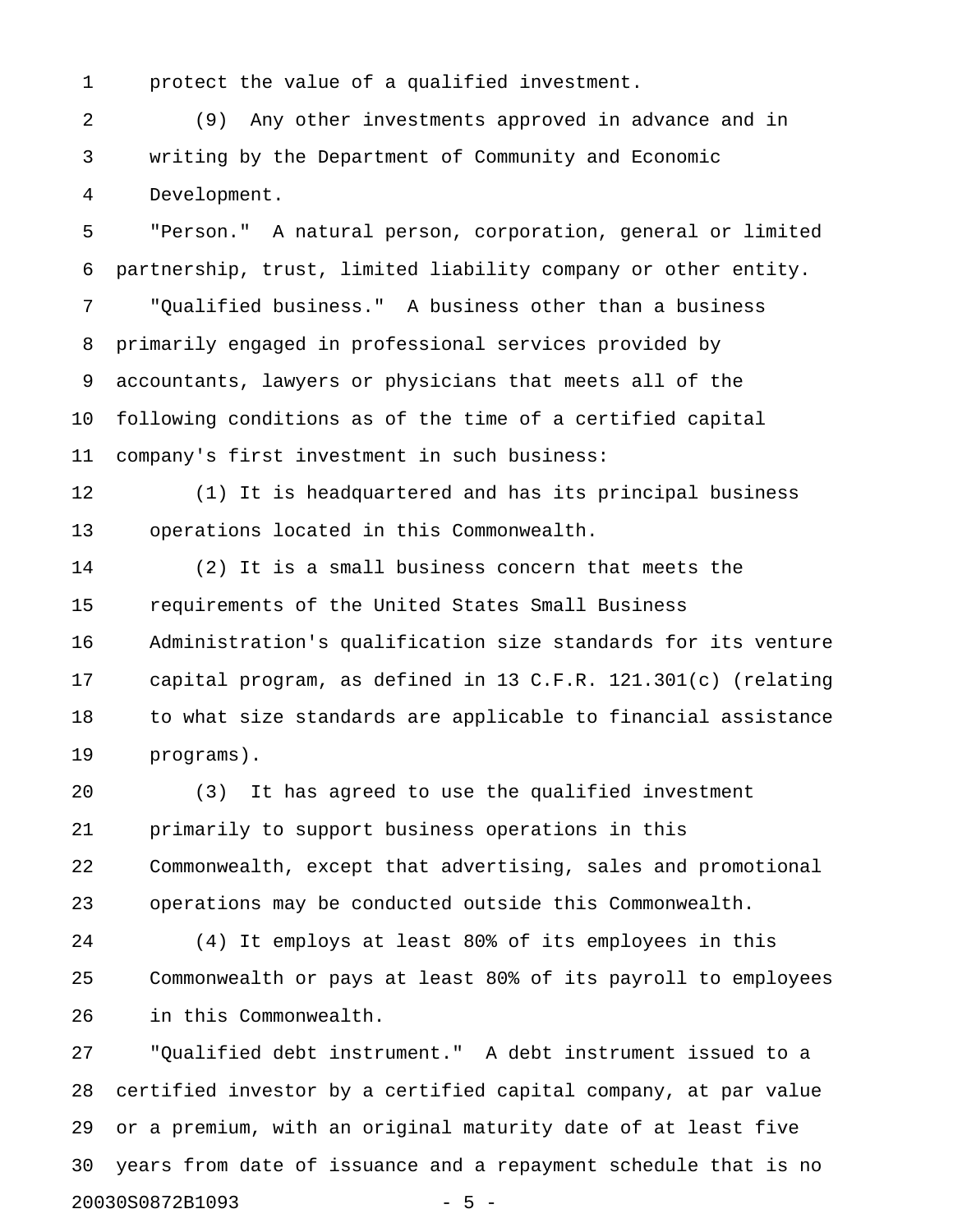1 protect the value of a qualified investment.

2 (9) Any other investments approved in advance and in 3 writing by the Department of Community and Economic 4 Development.

5 "Person." A natural person, corporation, general or limited 6 partnership, trust, limited liability company or other entity. 7 "Qualified business." A business other than a business 8 primarily engaged in professional services provided by 9 accountants, lawyers or physicians that meets all of the 10 following conditions as of the time of a certified capital 11 company's first investment in such business:

12 (1) It is headquartered and has its principal business 13 operations located in this Commonwealth.

14 (2) It is a small business concern that meets the 15 requirements of the United States Small Business 16 Administration's qualification size standards for its venture 17 capital program, as defined in 13 C.F.R. 121.301(c) (relating 18 to what size standards are applicable to financial assistance 19 programs).

20 (3) It has agreed to use the qualified investment 21 primarily to support business operations in this 22 Commonwealth, except that advertising, sales and promotional 23 operations may be conducted outside this Commonwealth.

24 (4) It employs at least 80% of its employees in this 25 Commonwealth or pays at least 80% of its payroll to employees 26 in this Commonwealth.

27 "Qualified debt instrument." A debt instrument issued to a 28 certified investor by a certified capital company, at par value 29 or a premium, with an original maturity date of at least five 30 years from date of issuance and a repayment schedule that is no 20030S0872B1093 - 5 -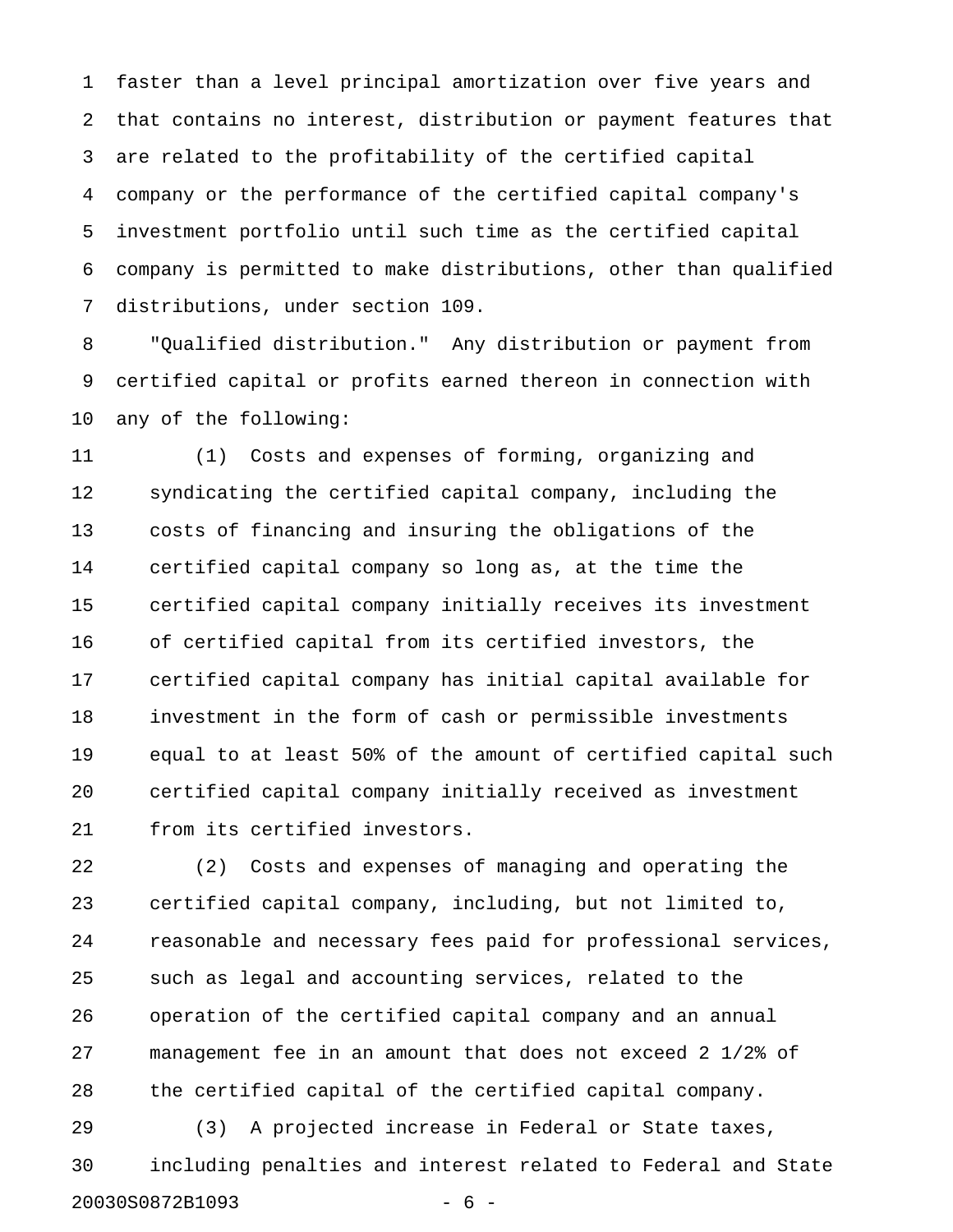1 faster than a level principal amortization over five years and 2 that contains no interest, distribution or payment features that 3 are related to the profitability of the certified capital 4 company or the performance of the certified capital company's 5 investment portfolio until such time as the certified capital 6 company is permitted to make distributions, other than qualified 7 distributions, under section 109.

8 "Qualified distribution." Any distribution or payment from 9 certified capital or profits earned thereon in connection with 10 any of the following:

11 (1) Costs and expenses of forming, organizing and 12 syndicating the certified capital company, including the 13 costs of financing and insuring the obligations of the 14 certified capital company so long as, at the time the 15 certified capital company initially receives its investment 16 of certified capital from its certified investors, the 17 certified capital company has initial capital available for 18 investment in the form of cash or permissible investments 19 equal to at least 50% of the amount of certified capital such 20 certified capital company initially received as investment 21 from its certified investors.

22 (2) Costs and expenses of managing and operating the 23 certified capital company, including, but not limited to, 24 reasonable and necessary fees paid for professional services, 25 such as legal and accounting services, related to the 26 operation of the certified capital company and an annual 27 management fee in an amount that does not exceed 2 1/2% of 28 the certified capital of the certified capital company.

29 (3) A projected increase in Federal or State taxes, 30 including penalties and interest related to Federal and State 20030S0872B1093 - 6 -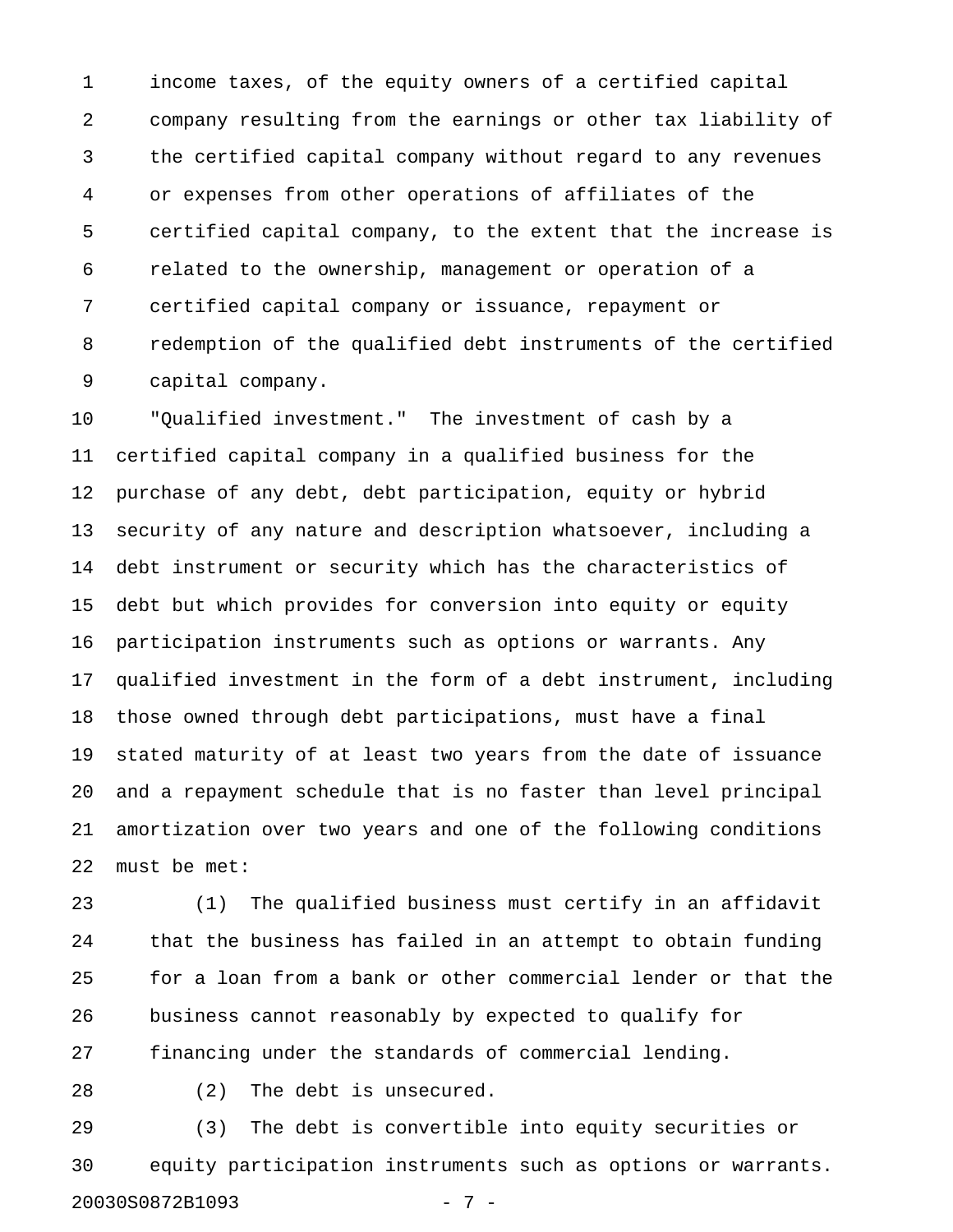1 income taxes, of the equity owners of a certified capital 2 company resulting from the earnings or other tax liability of 3 the certified capital company without regard to any revenues 4 or expenses from other operations of affiliates of the 5 certified capital company, to the extent that the increase is 6 related to the ownership, management or operation of a 7 certified capital company or issuance, repayment or 8 redemption of the qualified debt instruments of the certified 9 capital company.

10 "Qualified investment." The investment of cash by a 11 certified capital company in a qualified business for the 12 purchase of any debt, debt participation, equity or hybrid 13 security of any nature and description whatsoever, including a 14 debt instrument or security which has the characteristics of 15 debt but which provides for conversion into equity or equity 16 participation instruments such as options or warrants. Any 17 qualified investment in the form of a debt instrument, including 18 those owned through debt participations, must have a final 19 stated maturity of at least two years from the date of issuance 20 and a repayment schedule that is no faster than level principal 21 amortization over two years and one of the following conditions 22 must be met:

23 (1) The qualified business must certify in an affidavit 24 that the business has failed in an attempt to obtain funding 25 for a loan from a bank or other commercial lender or that the 26 business cannot reasonably by expected to qualify for 27 financing under the standards of commercial lending.

28 (2) The debt is unsecured.

29 (3) The debt is convertible into equity securities or 30 equity participation instruments such as options or warrants. 20030S0872B1093 - 7 -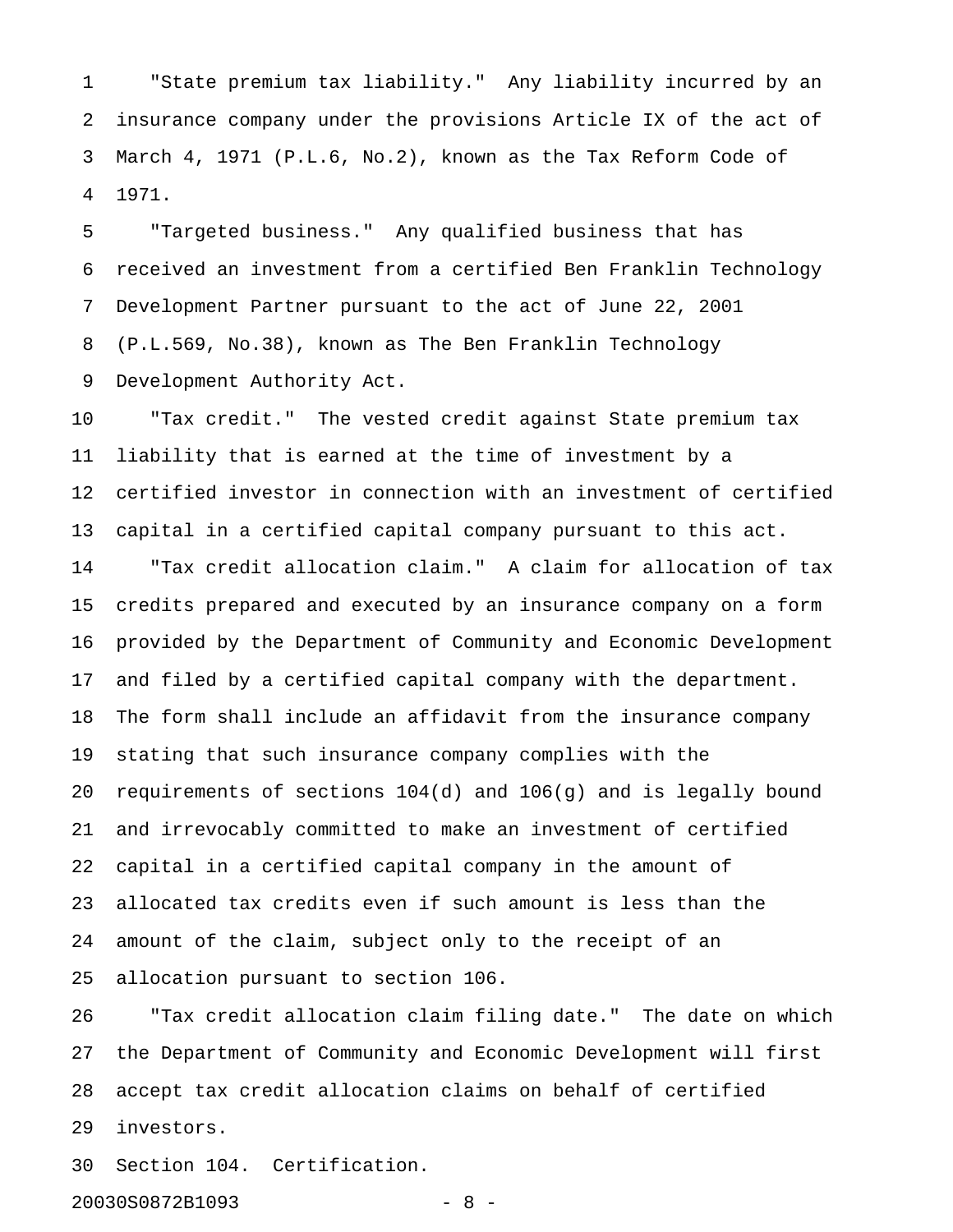1 "State premium tax liability." Any liability incurred by an 2 insurance company under the provisions Article IX of the act of 3 March 4, 1971 (P.L.6, No.2), known as the Tax Reform Code of 4 1971.

5 "Targeted business." Any qualified business that has 6 received an investment from a certified Ben Franklin Technology 7 Development Partner pursuant to the act of June 22, 2001 8 (P.L.569, No.38), known as The Ben Franklin Technology 9 Development Authority Act.

10 "Tax credit." The vested credit against State premium tax 11 liability that is earned at the time of investment by a 12 certified investor in connection with an investment of certified 13 capital in a certified capital company pursuant to this act. 14 "Tax credit allocation claim." A claim for allocation of tax 15 credits prepared and executed by an insurance company on a form 16 provided by the Department of Community and Economic Development 17 and filed by a certified capital company with the department. 18 The form shall include an affidavit from the insurance company 19 stating that such insurance company complies with the 20 requirements of sections 104(d) and 106(g) and is legally bound 21 and irrevocably committed to make an investment of certified 22 capital in a certified capital company in the amount of 23 allocated tax credits even if such amount is less than the 24 amount of the claim, subject only to the receipt of an 25 allocation pursuant to section 106.

26 "Tax credit allocation claim filing date." The date on which 27 the Department of Community and Economic Development will first 28 accept tax credit allocation claims on behalf of certified 29 investors.

30 Section 104. Certification.

20030S0872B1093 - 8 -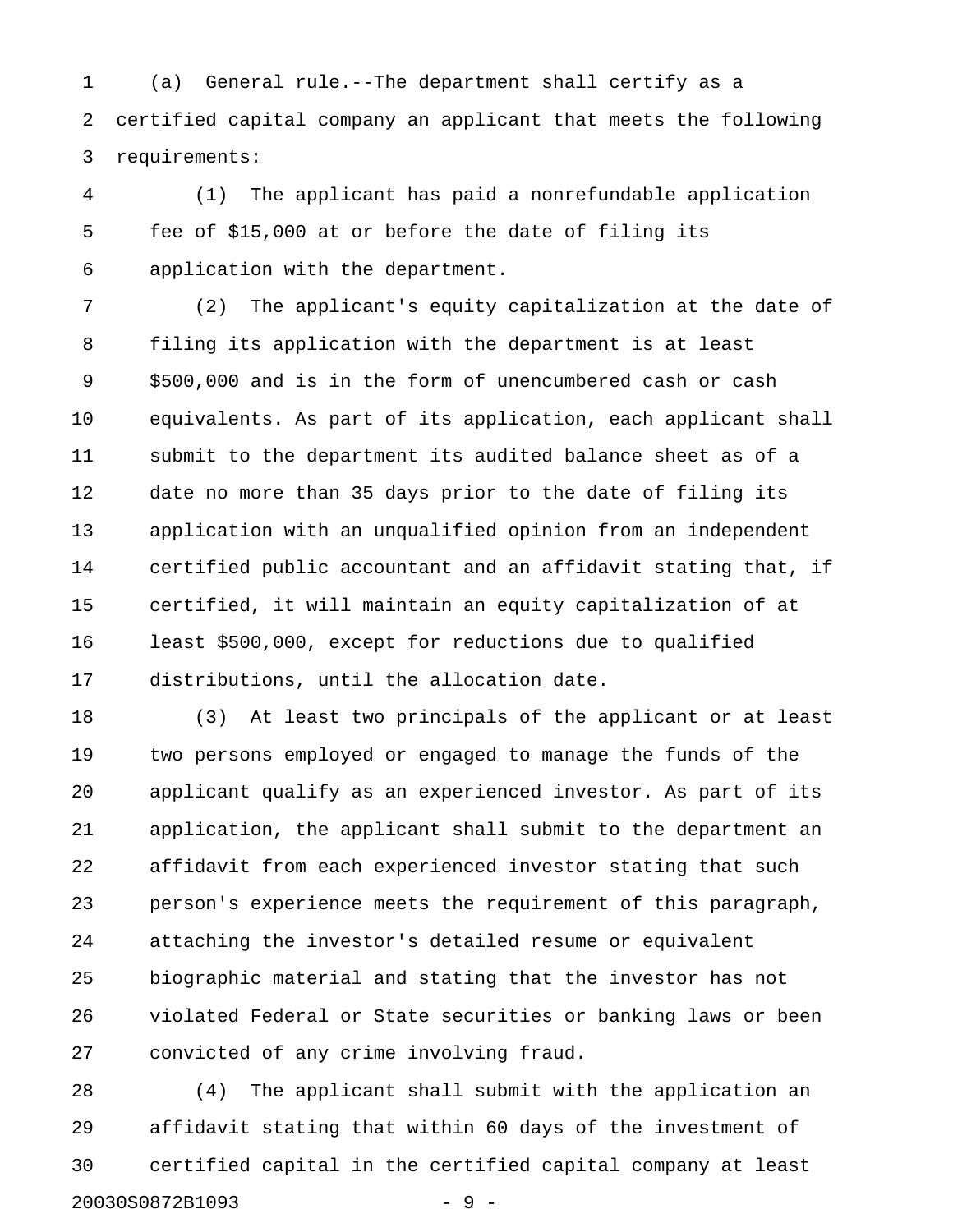1 (a) General rule.--The department shall certify as a 2 certified capital company an applicant that meets the following 3 requirements:

4 (1) The applicant has paid a nonrefundable application 5 fee of \$15,000 at or before the date of filing its 6 application with the department.

7 (2) The applicant's equity capitalization at the date of 8 filing its application with the department is at least 9 \$500,000 and is in the form of unencumbered cash or cash 10 equivalents. As part of its application, each applicant shall 11 submit to the department its audited balance sheet as of a 12 date no more than 35 days prior to the date of filing its 13 application with an unqualified opinion from an independent 14 certified public accountant and an affidavit stating that, if 15 certified, it will maintain an equity capitalization of at 16 least \$500,000, except for reductions due to qualified 17 distributions, until the allocation date.

18 (3) At least two principals of the applicant or at least 19 two persons employed or engaged to manage the funds of the 20 applicant qualify as an experienced investor. As part of its 21 application, the applicant shall submit to the department an 22 affidavit from each experienced investor stating that such 23 person's experience meets the requirement of this paragraph, 24 attaching the investor's detailed resume or equivalent 25 biographic material and stating that the investor has not 26 violated Federal or State securities or banking laws or been 27 convicted of any crime involving fraud.

28 (4) The applicant shall submit with the application an 29 affidavit stating that within 60 days of the investment of 30 certified capital in the certified capital company at least 20030S0872B1093 - 9 -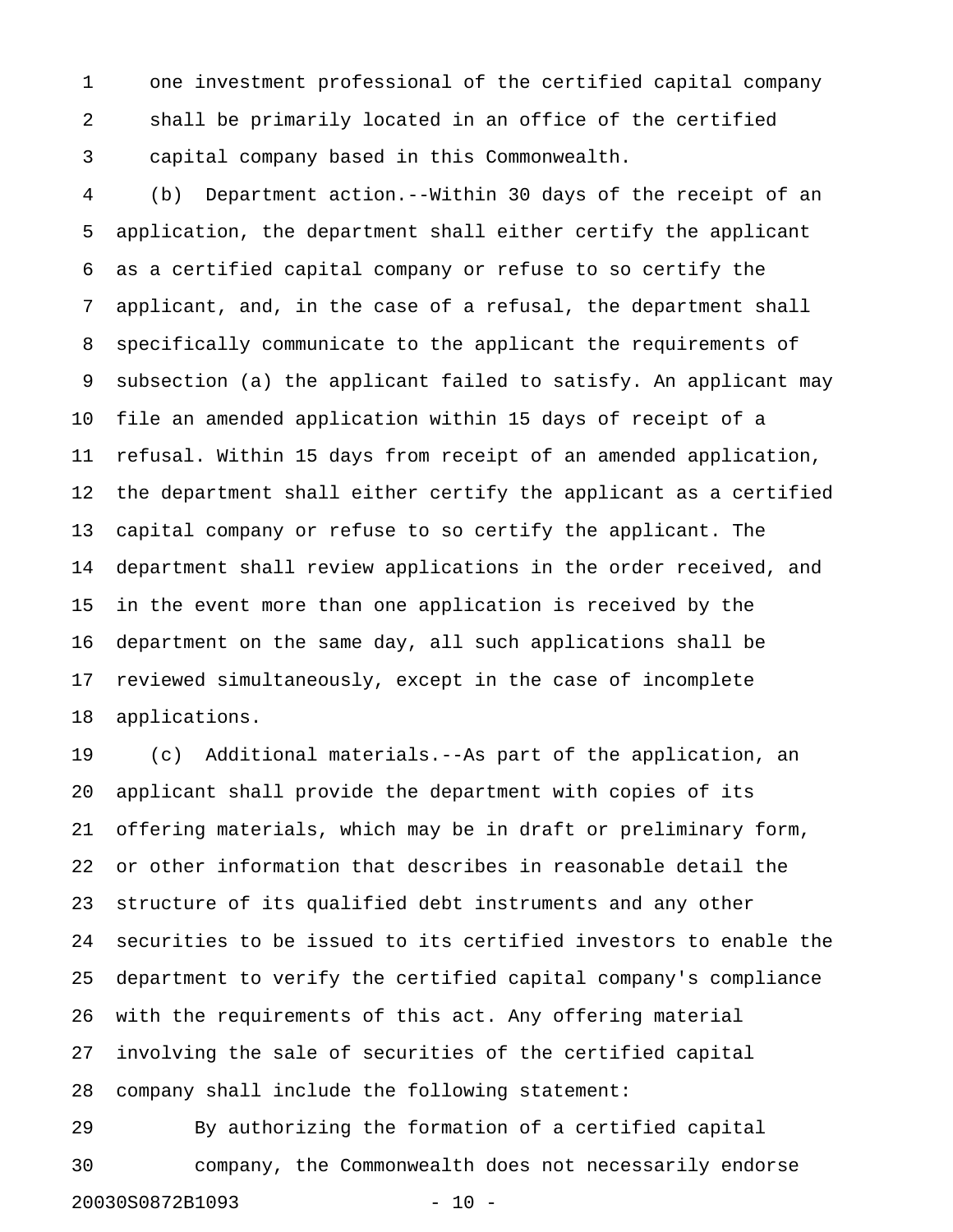1 one investment professional of the certified capital company 2 shall be primarily located in an office of the certified 3 capital company based in this Commonwealth.

4 (b) Department action.--Within 30 days of the receipt of an 5 application, the department shall either certify the applicant 6 as a certified capital company or refuse to so certify the 7 applicant, and, in the case of a refusal, the department shall 8 specifically communicate to the applicant the requirements of 9 subsection (a) the applicant failed to satisfy. An applicant may 10 file an amended application within 15 days of receipt of a 11 refusal. Within 15 days from receipt of an amended application, 12 the department shall either certify the applicant as a certified 13 capital company or refuse to so certify the applicant. The 14 department shall review applications in the order received, and 15 in the event more than one application is received by the 16 department on the same day, all such applications shall be 17 reviewed simultaneously, except in the case of incomplete 18 applications.

19 (c) Additional materials.--As part of the application, an 20 applicant shall provide the department with copies of its 21 offering materials, which may be in draft or preliminary form, 22 or other information that describes in reasonable detail the 23 structure of its qualified debt instruments and any other 24 securities to be issued to its certified investors to enable the 25 department to verify the certified capital company's compliance 26 with the requirements of this act. Any offering material 27 involving the sale of securities of the certified capital 28 company shall include the following statement:

29 By authorizing the formation of a certified capital 30 company, the Commonwealth does not necessarily endorse 20030S0872B1093 - 10 -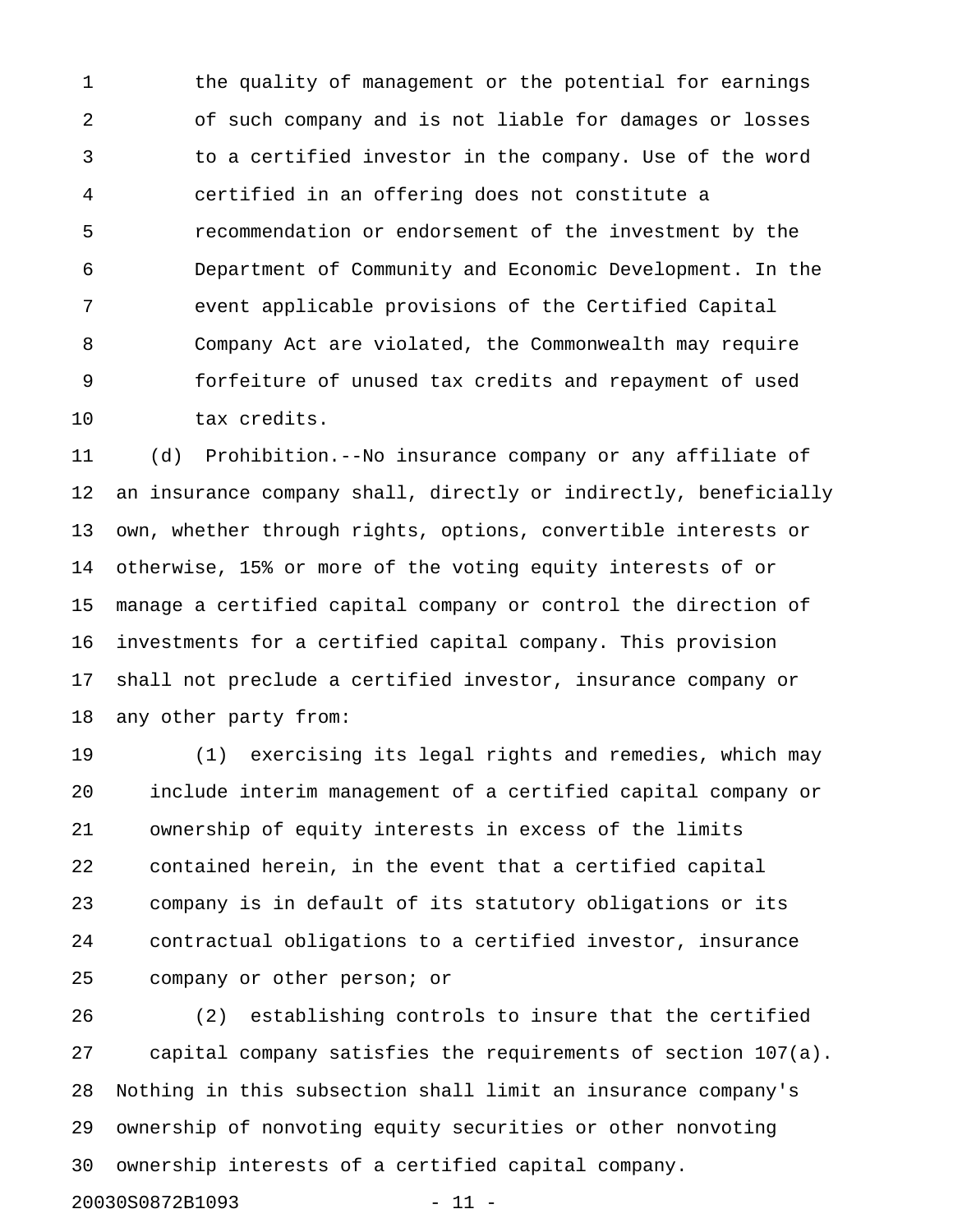1 the quality of management or the potential for earnings 2 of such company and is not liable for damages or losses 3 to a certified investor in the company. Use of the word 4 certified in an offering does not constitute a 5 recommendation or endorsement of the investment by the 6 Department of Community and Economic Development. In the 7 event applicable provisions of the Certified Capital 8 Company Act are violated, the Commonwealth may require 9 forfeiture of unused tax credits and repayment of used 10 tax credits.

11 (d) Prohibition.--No insurance company or any affiliate of 12 an insurance company shall, directly or indirectly, beneficially 13 own, whether through rights, options, convertible interests or 14 otherwise, 15% or more of the voting equity interests of or 15 manage a certified capital company or control the direction of 16 investments for a certified capital company. This provision 17 shall not preclude a certified investor, insurance company or 18 any other party from:

19 (1) exercising its legal rights and remedies, which may 20 include interim management of a certified capital company or 21 ownership of equity interests in excess of the limits 22 contained herein, in the event that a certified capital 23 company is in default of its statutory obligations or its 24 contractual obligations to a certified investor, insurance 25 company or other person; or

26 (2) establishing controls to insure that the certified 27 capital company satisfies the requirements of section 107(a). 28 Nothing in this subsection shall limit an insurance company's 29 ownership of nonvoting equity securities or other nonvoting 30 ownership interests of a certified capital company.

```
20030S0872B1093 - 11 -
```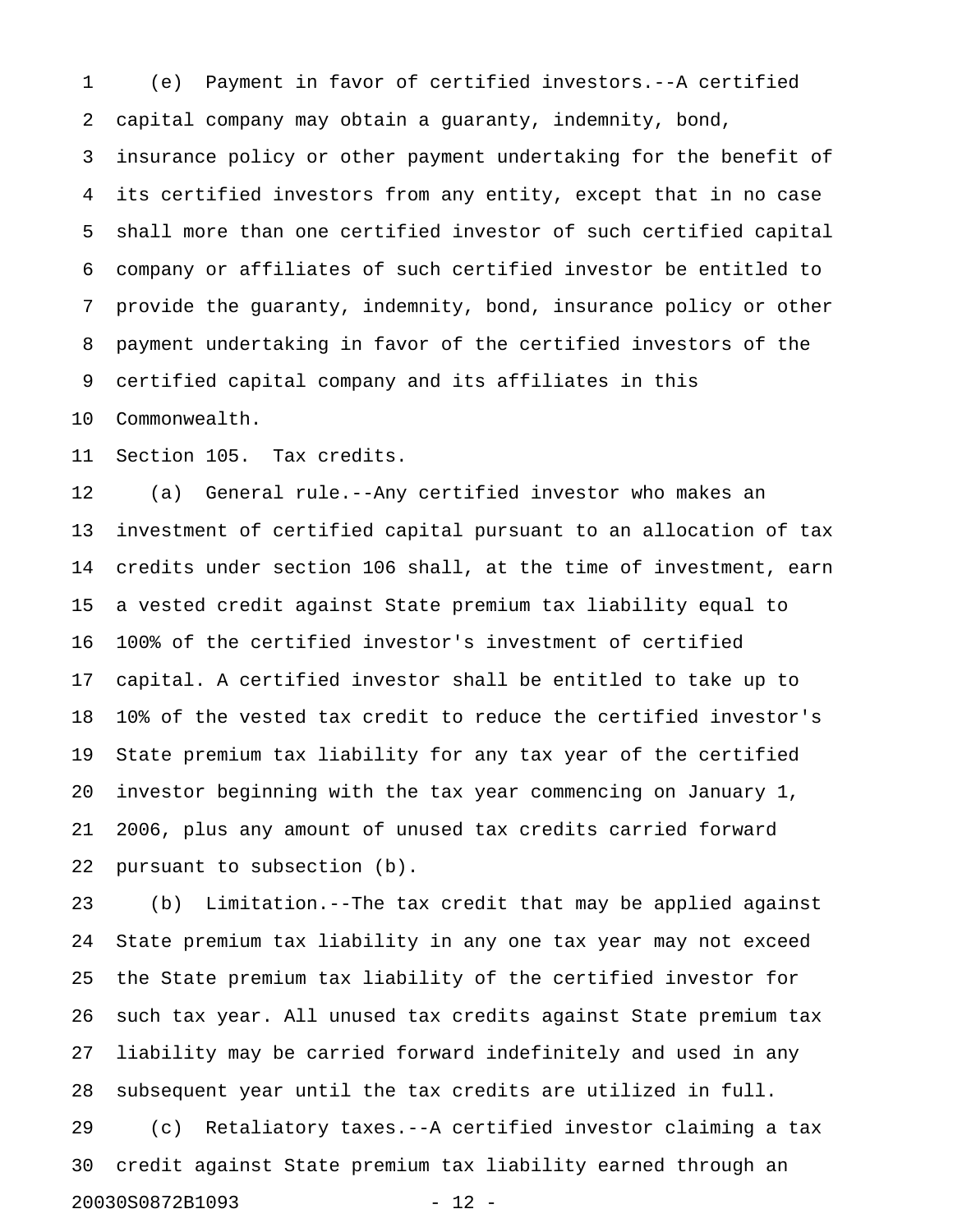1 (e) Payment in favor of certified investors.--A certified 2 capital company may obtain a guaranty, indemnity, bond, 3 insurance policy or other payment undertaking for the benefit of 4 its certified investors from any entity, except that in no case 5 shall more than one certified investor of such certified capital 6 company or affiliates of such certified investor be entitled to 7 provide the guaranty, indemnity, bond, insurance policy or other 8 payment undertaking in favor of the certified investors of the 9 certified capital company and its affiliates in this

10 Commonwealth.

11 Section 105. Tax credits.

12 (a) General rule.--Any certified investor who makes an 13 investment of certified capital pursuant to an allocation of tax 14 credits under section 106 shall, at the time of investment, earn 15 a vested credit against State premium tax liability equal to 16 100% of the certified investor's investment of certified 17 capital. A certified investor shall be entitled to take up to 18 10% of the vested tax credit to reduce the certified investor's 19 State premium tax liability for any tax year of the certified 20 investor beginning with the tax year commencing on January 1, 21 2006, plus any amount of unused tax credits carried forward 22 pursuant to subsection (b).

23 (b) Limitation.--The tax credit that may be applied against 24 State premium tax liability in any one tax year may not exceed 25 the State premium tax liability of the certified investor for 26 such tax year. All unused tax credits against State premium tax 27 liability may be carried forward indefinitely and used in any 28 subsequent year until the tax credits are utilized in full. 29 (c) Retaliatory taxes.--A certified investor claiming a tax

30 credit against State premium tax liability earned through an 20030S0872B1093 - 12 -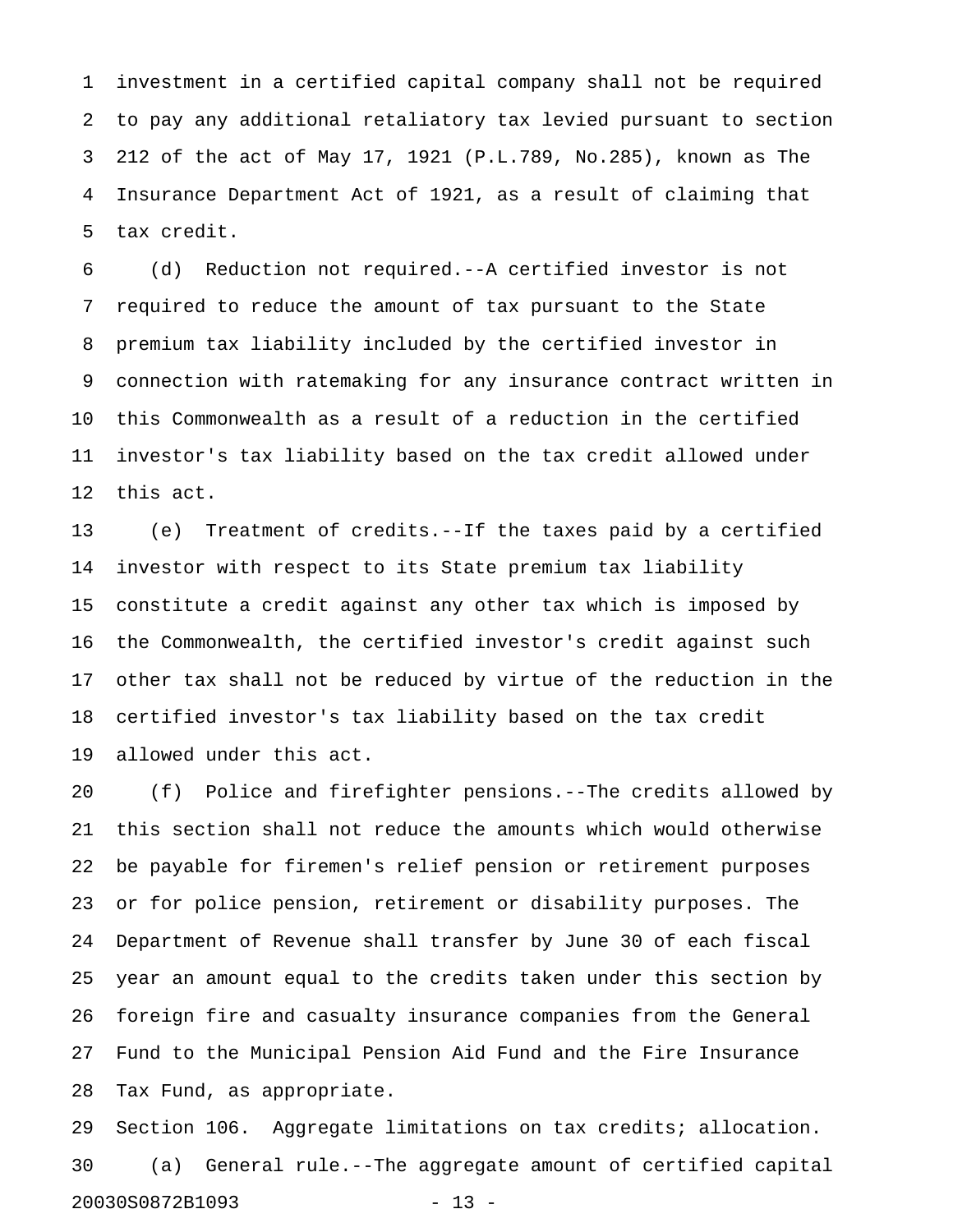1 investment in a certified capital company shall not be required 2 to pay any additional retaliatory tax levied pursuant to section 3 212 of the act of May 17, 1921 (P.L.789, No.285), known as The 4 Insurance Department Act of 1921, as a result of claiming that 5 tax credit.

6 (d) Reduction not required.--A certified investor is not 7 required to reduce the amount of tax pursuant to the State 8 premium tax liability included by the certified investor in 9 connection with ratemaking for any insurance contract written in 10 this Commonwealth as a result of a reduction in the certified 11 investor's tax liability based on the tax credit allowed under 12 this act.

13 (e) Treatment of credits.--If the taxes paid by a certified 14 investor with respect to its State premium tax liability 15 constitute a credit against any other tax which is imposed by 16 the Commonwealth, the certified investor's credit against such 17 other tax shall not be reduced by virtue of the reduction in the 18 certified investor's tax liability based on the tax credit 19 allowed under this act.

20 (f) Police and firefighter pensions.--The credits allowed by 21 this section shall not reduce the amounts which would otherwise 22 be payable for firemen's relief pension or retirement purposes 23 or for police pension, retirement or disability purposes. The 24 Department of Revenue shall transfer by June 30 of each fiscal 25 year an amount equal to the credits taken under this section by 26 foreign fire and casualty insurance companies from the General 27 Fund to the Municipal Pension Aid Fund and the Fire Insurance 28 Tax Fund, as appropriate.

29 Section 106. Aggregate limitations on tax credits; allocation. 30 (a) General rule.--The aggregate amount of certified capital 20030S0872B1093 - 13 -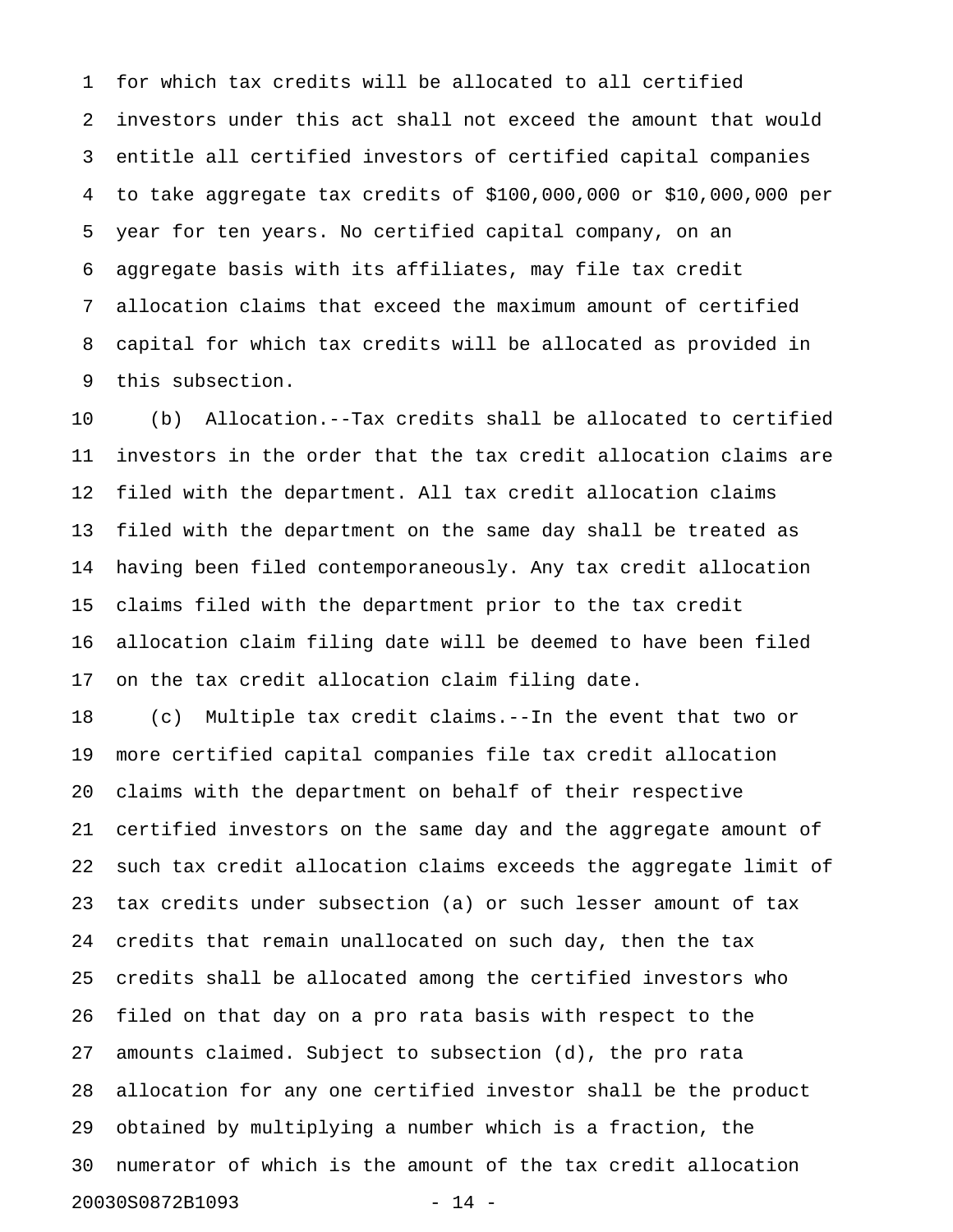1 for which tax credits will be allocated to all certified 2 investors under this act shall not exceed the amount that would 3 entitle all certified investors of certified capital companies 4 to take aggregate tax credits of \$100,000,000 or \$10,000,000 per 5 year for ten years. No certified capital company, on an 6 aggregate basis with its affiliates, may file tax credit 7 allocation claims that exceed the maximum amount of certified 8 capital for which tax credits will be allocated as provided in 9 this subsection.

10 (b) Allocation.--Tax credits shall be allocated to certified 11 investors in the order that the tax credit allocation claims are 12 filed with the department. All tax credit allocation claims 13 filed with the department on the same day shall be treated as 14 having been filed contemporaneously. Any tax credit allocation 15 claims filed with the department prior to the tax credit 16 allocation claim filing date will be deemed to have been filed 17 on the tax credit allocation claim filing date.

18 (c) Multiple tax credit claims.--In the event that two or 19 more certified capital companies file tax credit allocation 20 claims with the department on behalf of their respective 21 certified investors on the same day and the aggregate amount of 22 such tax credit allocation claims exceeds the aggregate limit of 23 tax credits under subsection (a) or such lesser amount of tax 24 credits that remain unallocated on such day, then the tax 25 credits shall be allocated among the certified investors who 26 filed on that day on a pro rata basis with respect to the 27 amounts claimed. Subject to subsection (d), the pro rata 28 allocation for any one certified investor shall be the product 29 obtained by multiplying a number which is a fraction, the 30 numerator of which is the amount of the tax credit allocation 20030S0872B1093 - 14 -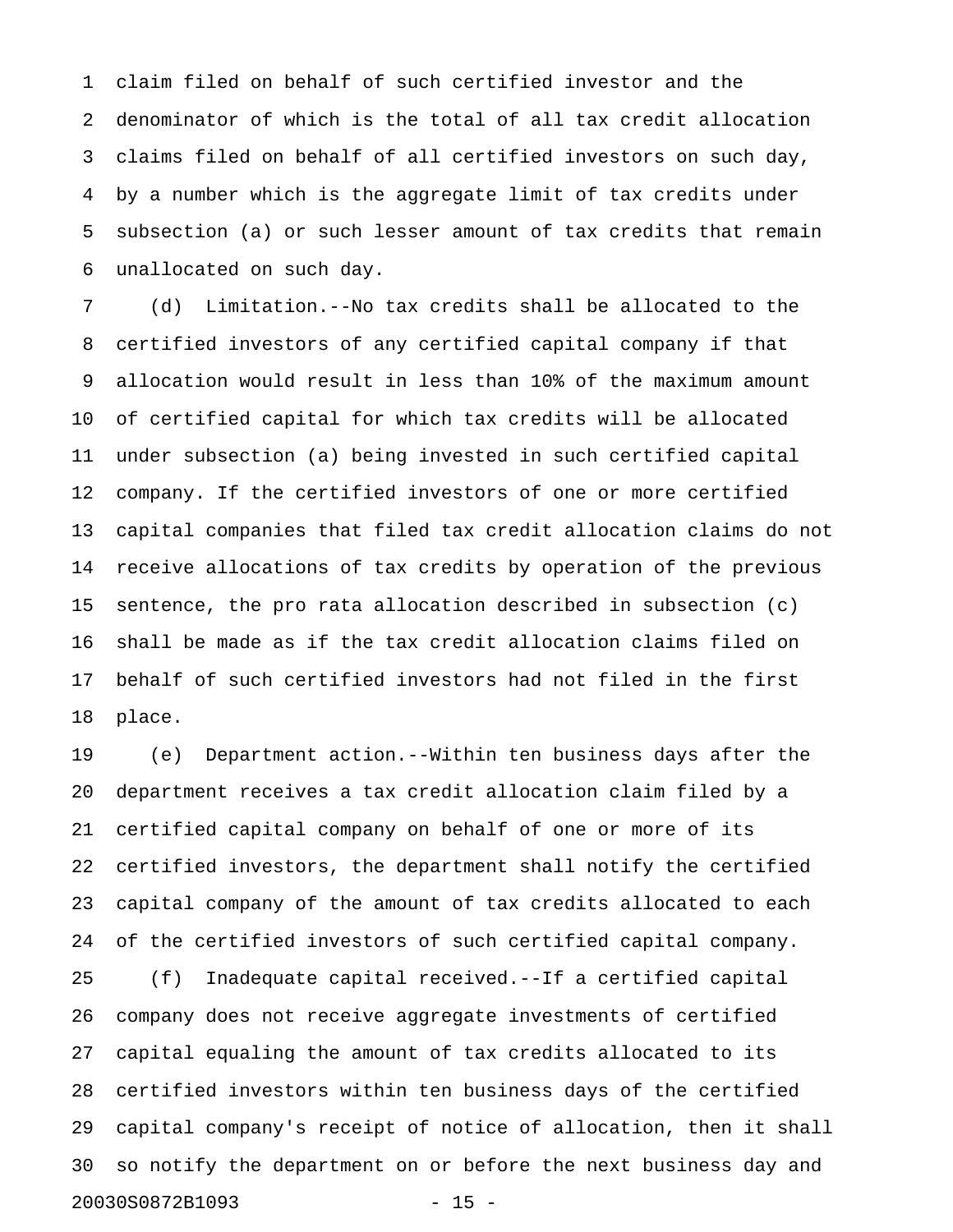1 claim filed on behalf of such certified investor and the 2 denominator of which is the total of all tax credit allocation 3 claims filed on behalf of all certified investors on such day, 4 by a number which is the aggregate limit of tax credits under 5 subsection (a) or such lesser amount of tax credits that remain 6 unallocated on such day.

7 (d) Limitation.--No tax credits shall be allocated to the 8 certified investors of any certified capital company if that 9 allocation would result in less than 10% of the maximum amount 10 of certified capital for which tax credits will be allocated 11 under subsection (a) being invested in such certified capital 12 company. If the certified investors of one or more certified 13 capital companies that filed tax credit allocation claims do not 14 receive allocations of tax credits by operation of the previous 15 sentence, the pro rata allocation described in subsection (c) 16 shall be made as if the tax credit allocation claims filed on 17 behalf of such certified investors had not filed in the first 18 place.

19 (e) Department action.--Within ten business days after the 20 department receives a tax credit allocation claim filed by a 21 certified capital company on behalf of one or more of its 22 certified investors, the department shall notify the certified 23 capital company of the amount of tax credits allocated to each 24 of the certified investors of such certified capital company. 25 (f) Inadequate capital received.--If a certified capital 26 company does not receive aggregate investments of certified 27 capital equaling the amount of tax credits allocated to its 28 certified investors within ten business days of the certified 29 capital company's receipt of notice of allocation, then it shall 30 so notify the department on or before the next business day and

20030S0872B1093 - 15 -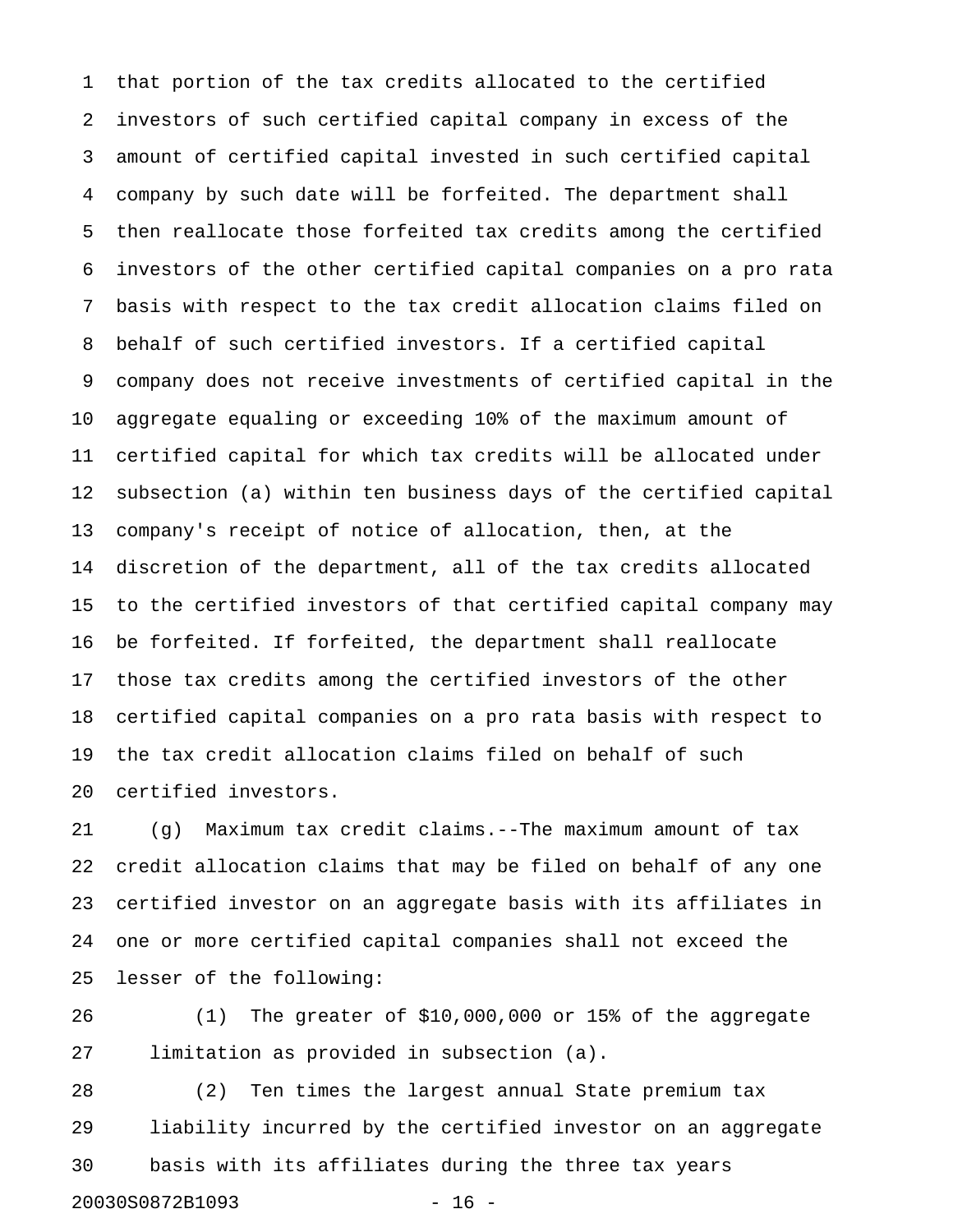1 that portion of the tax credits allocated to the certified 2 investors of such certified capital company in excess of the 3 amount of certified capital invested in such certified capital 4 company by such date will be forfeited. The department shall 5 then reallocate those forfeited tax credits among the certified 6 investors of the other certified capital companies on a pro rata 7 basis with respect to the tax credit allocation claims filed on 8 behalf of such certified investors. If a certified capital 9 company does not receive investments of certified capital in the 10 aggregate equaling or exceeding 10% of the maximum amount of 11 certified capital for which tax credits will be allocated under 12 subsection (a) within ten business days of the certified capital 13 company's receipt of notice of allocation, then, at the 14 discretion of the department, all of the tax credits allocated 15 to the certified investors of that certified capital company may 16 be forfeited. If forfeited, the department shall reallocate 17 those tax credits among the certified investors of the other 18 certified capital companies on a pro rata basis with respect to 19 the tax credit allocation claims filed on behalf of such 20 certified investors.

21 (g) Maximum tax credit claims.--The maximum amount of tax 22 credit allocation claims that may be filed on behalf of any one 23 certified investor on an aggregate basis with its affiliates in 24 one or more certified capital companies shall not exceed the 25 lesser of the following:

26 (1) The greater of \$10,000,000 or 15% of the aggregate 27 limitation as provided in subsection (a).

28 (2) Ten times the largest annual State premium tax 29 liability incurred by the certified investor on an aggregate 30 basis with its affiliates during the three tax years 20030S0872B1093 - 16 -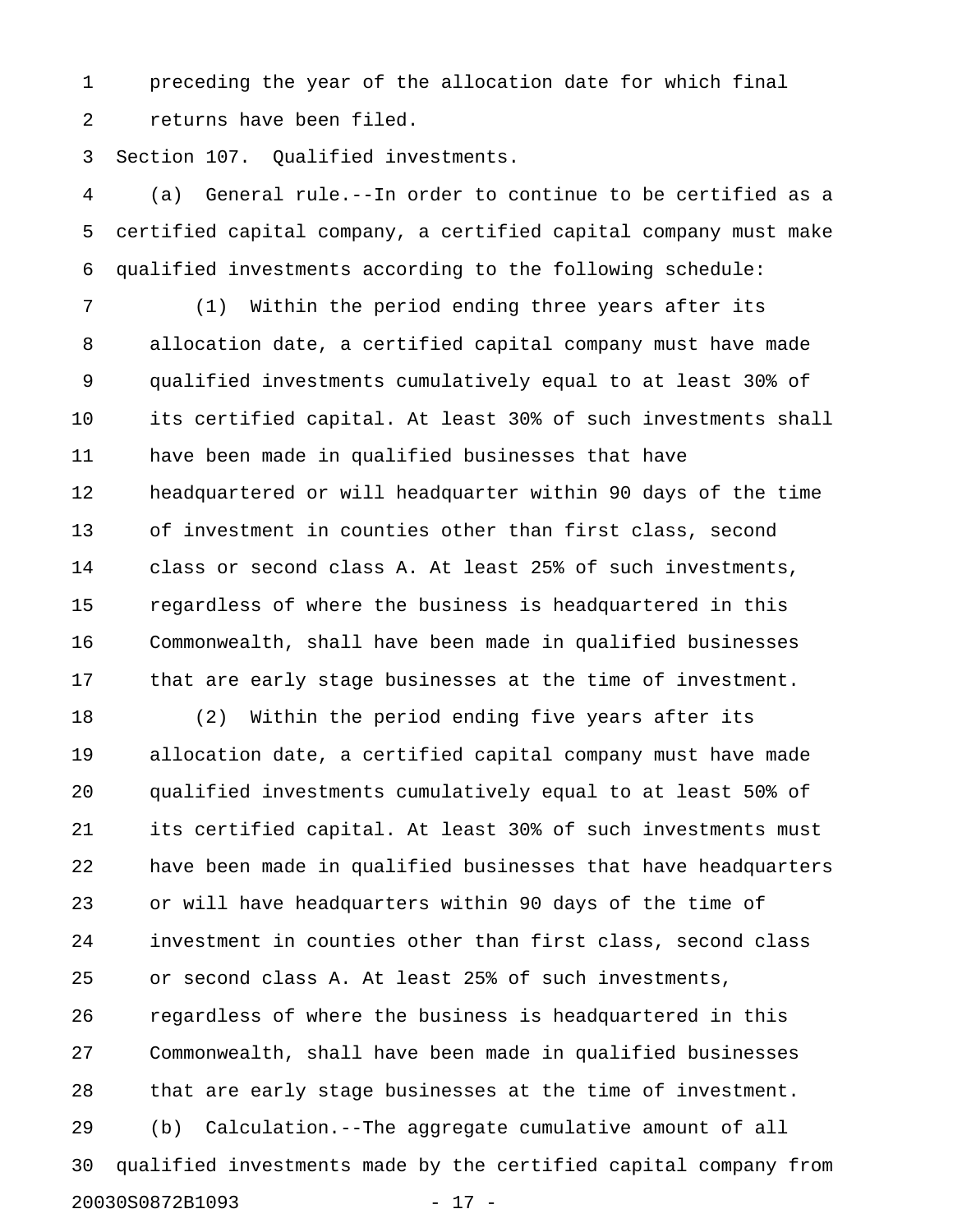1 preceding the year of the allocation date for which final 2 returns have been filed.

3 Section 107. Qualified investments.

4 (a) General rule.--In order to continue to be certified as a 5 certified capital company, a certified capital company must make 6 qualified investments according to the following schedule:

7 (1) Within the period ending three years after its 8 allocation date, a certified capital company must have made 9 qualified investments cumulatively equal to at least 30% of 10 its certified capital. At least 30% of such investments shall 11 have been made in qualified businesses that have 12 headquartered or will headquarter within 90 days of the time 13 of investment in counties other than first class, second 14 class or second class A. At least 25% of such investments, 15 regardless of where the business is headquartered in this 16 Commonwealth, shall have been made in qualified businesses 17 that are early stage businesses at the time of investment.

18 (2) Within the period ending five years after its 19 allocation date, a certified capital company must have made 20 qualified investments cumulatively equal to at least 50% of 21 its certified capital. At least 30% of such investments must 22 have been made in qualified businesses that have headquarters 23 or will have headquarters within 90 days of the time of 24 investment in counties other than first class, second class 25 or second class A. At least 25% of such investments, 26 regardless of where the business is headquartered in this 27 Commonwealth, shall have been made in qualified businesses 28 that are early stage businesses at the time of investment. 29 (b) Calculation.--The aggregate cumulative amount of all 30 qualified investments made by the certified capital company from 20030S0872B1093 - 17 -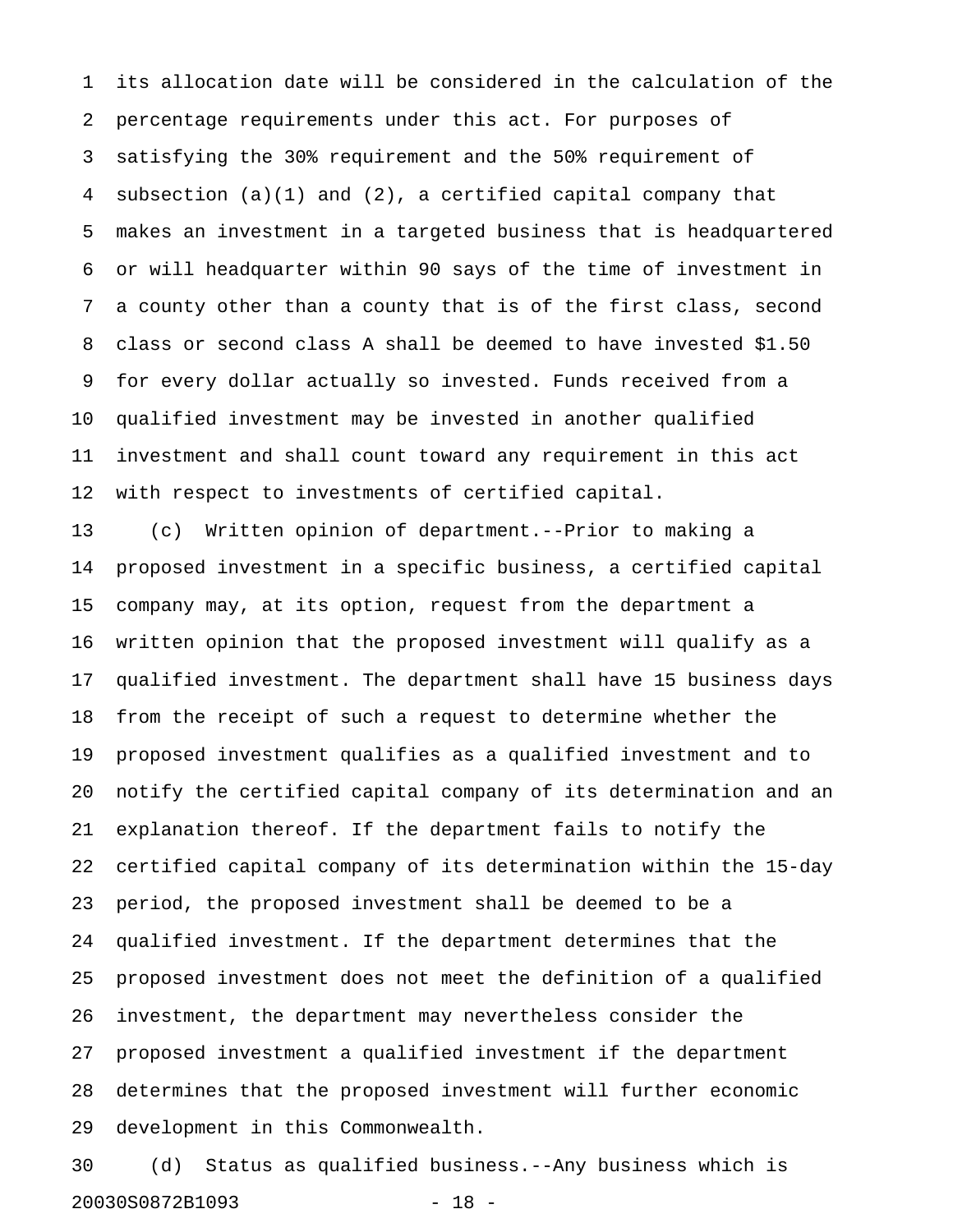1 its allocation date will be considered in the calculation of the 2 percentage requirements under this act. For purposes of 3 satisfying the 30% requirement and the 50% requirement of 4 subsection (a)(1) and (2), a certified capital company that 5 makes an investment in a targeted business that is headquartered 6 or will headquarter within 90 says of the time of investment in 7 a county other than a county that is of the first class, second 8 class or second class A shall be deemed to have invested \$1.50 9 for every dollar actually so invested. Funds received from a 10 qualified investment may be invested in another qualified 11 investment and shall count toward any requirement in this act 12 with respect to investments of certified capital.

13 (c) Written opinion of department.--Prior to making a 14 proposed investment in a specific business, a certified capital 15 company may, at its option, request from the department a 16 written opinion that the proposed investment will qualify as a 17 qualified investment. The department shall have 15 business days 18 from the receipt of such a request to determine whether the 19 proposed investment qualifies as a qualified investment and to 20 notify the certified capital company of its determination and an 21 explanation thereof. If the department fails to notify the 22 certified capital company of its determination within the 15-day 23 period, the proposed investment shall be deemed to be a 24 qualified investment. If the department determines that the 25 proposed investment does not meet the definition of a qualified 26 investment, the department may nevertheless consider the 27 proposed investment a qualified investment if the department 28 determines that the proposed investment will further economic 29 development in this Commonwealth.

30 (d) Status as qualified business.--Any business which is 20030S0872B1093 - 18 -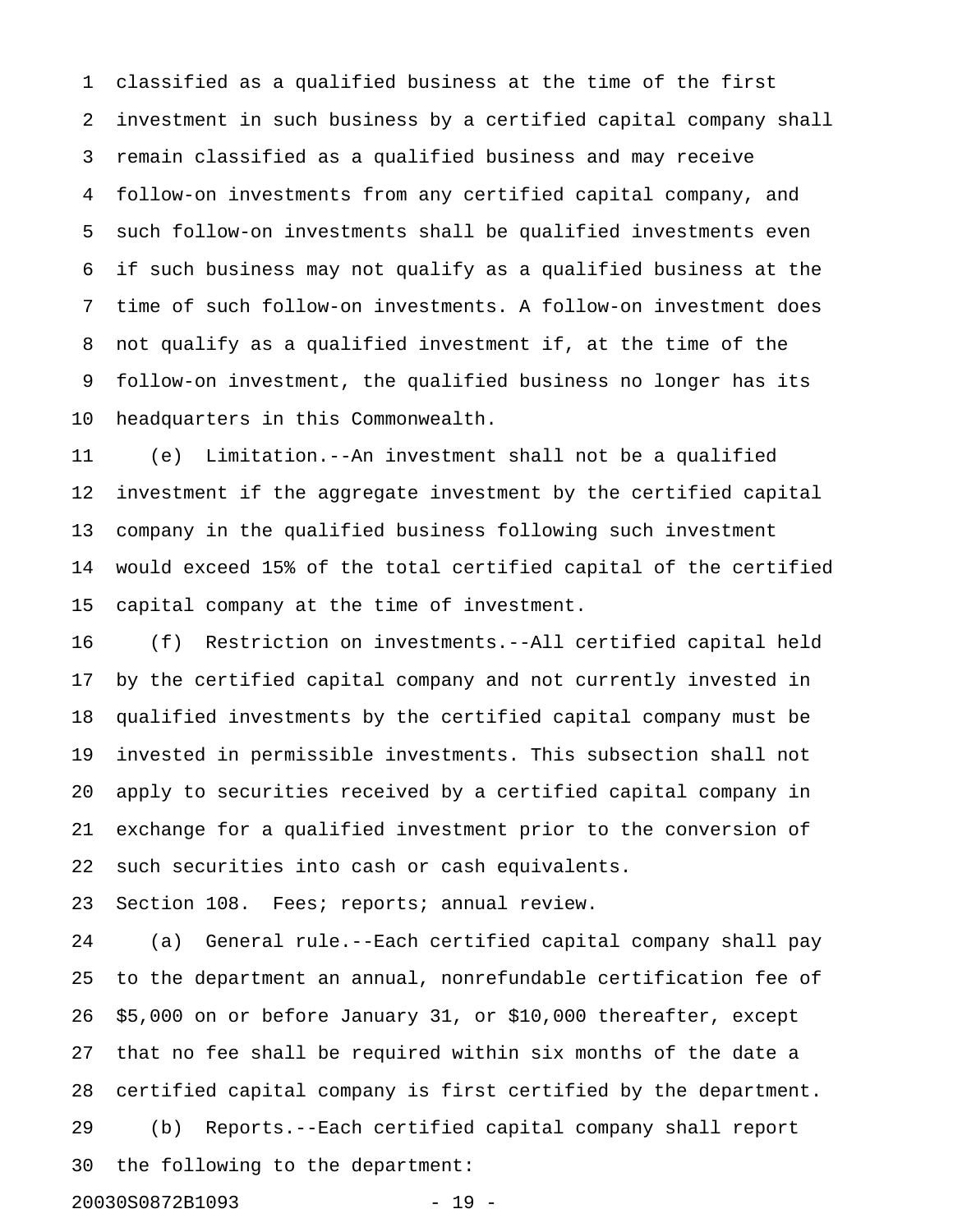1 classified as a qualified business at the time of the first 2 investment in such business by a certified capital company shall 3 remain classified as a qualified business and may receive 4 follow-on investments from any certified capital company, and 5 such follow-on investments shall be qualified investments even 6 if such business may not qualify as a qualified business at the 7 time of such follow-on investments. A follow-on investment does 8 not qualify as a qualified investment if, at the time of the 9 follow-on investment, the qualified business no longer has its 10 headquarters in this Commonwealth.

11 (e) Limitation.--An investment shall not be a qualified 12 investment if the aggregate investment by the certified capital 13 company in the qualified business following such investment 14 would exceed 15% of the total certified capital of the certified 15 capital company at the time of investment.

16 (f) Restriction on investments.--All certified capital held 17 by the certified capital company and not currently invested in 18 qualified investments by the certified capital company must be 19 invested in permissible investments. This subsection shall not 20 apply to securities received by a certified capital company in 21 exchange for a qualified investment prior to the conversion of 22 such securities into cash or cash equivalents.

23 Section 108. Fees; reports; annual review.

24 (a) General rule.--Each certified capital company shall pay 25 to the department an annual, nonrefundable certification fee of 26 \$5,000 on or before January 31, or \$10,000 thereafter, except 27 that no fee shall be required within six months of the date a 28 certified capital company is first certified by the department. 29 (b) Reports.--Each certified capital company shall report 30 the following to the department: 20030S0872B1093 - 19 -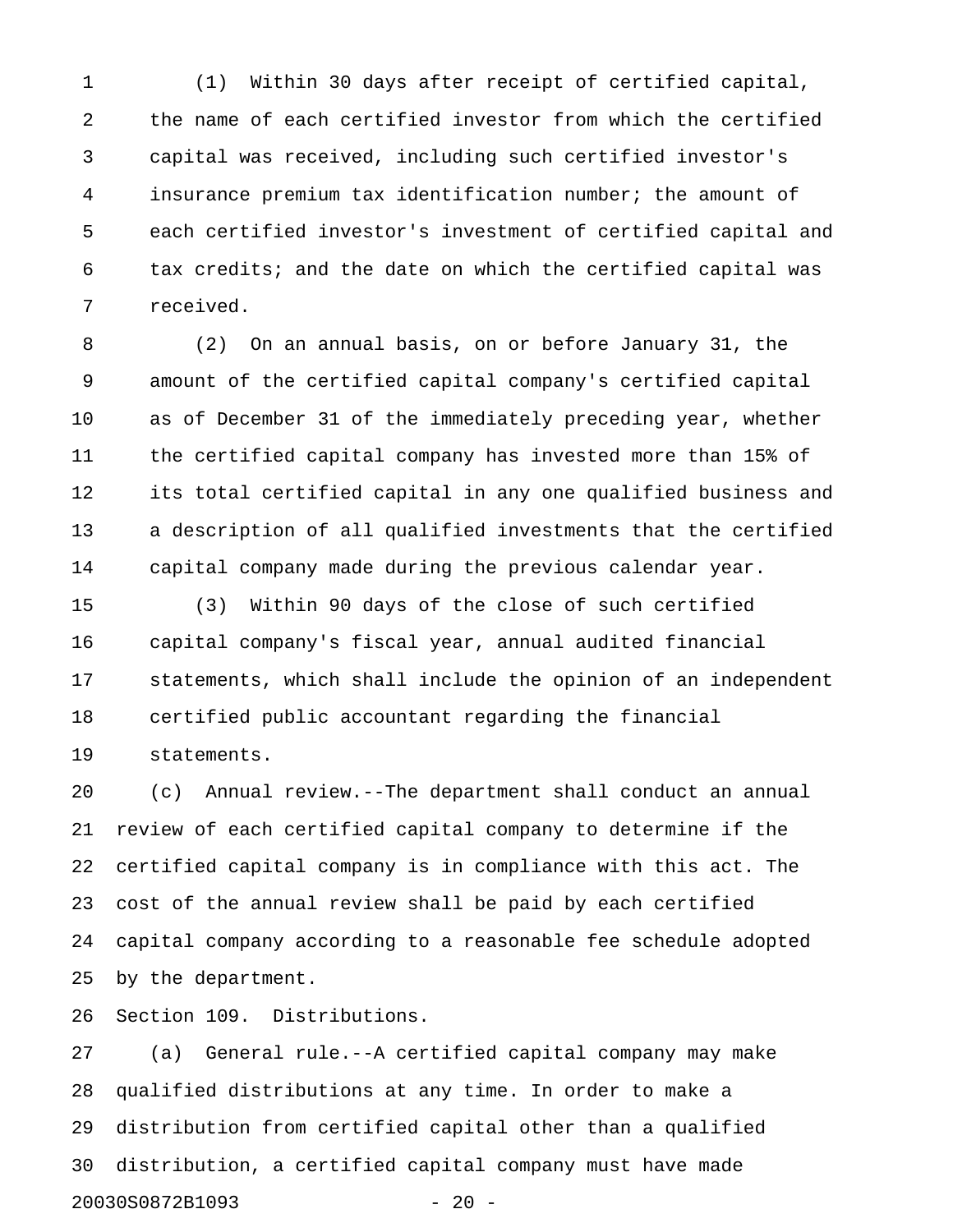1 (1) Within 30 days after receipt of certified capital, 2 the name of each certified investor from which the certified 3 capital was received, including such certified investor's 4 insurance premium tax identification number; the amount of 5 each certified investor's investment of certified capital and 6 tax credits; and the date on which the certified capital was 7 received.

8 (2) On an annual basis, on or before January 31, the 9 amount of the certified capital company's certified capital 10 as of December 31 of the immediately preceding year, whether 11 the certified capital company has invested more than 15% of 12 its total certified capital in any one qualified business and 13 a description of all qualified investments that the certified 14 capital company made during the previous calendar year.

15 (3) Within 90 days of the close of such certified 16 capital company's fiscal year, annual audited financial 17 statements, which shall include the opinion of an independent 18 certified public accountant regarding the financial 19 statements.

20 (c) Annual review.--The department shall conduct an annual 21 review of each certified capital company to determine if the 22 certified capital company is in compliance with this act. The 23 cost of the annual review shall be paid by each certified 24 capital company according to a reasonable fee schedule adopted 25 by the department.

26 Section 109. Distributions.

27 (a) General rule.--A certified capital company may make 28 qualified distributions at any time. In order to make a 29 distribution from certified capital other than a qualified 30 distribution, a certified capital company must have made 20030S0872B1093 - 20 -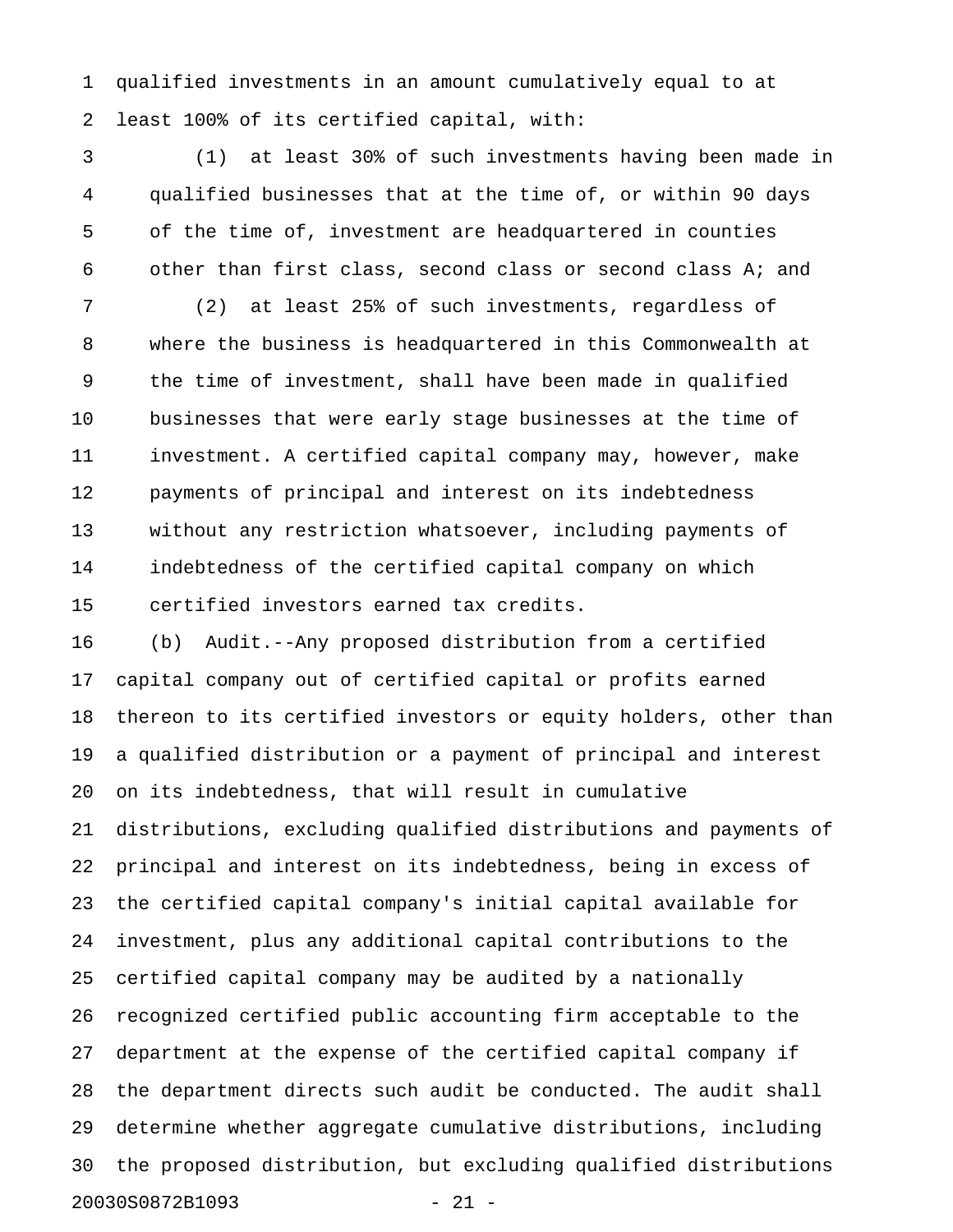1 qualified investments in an amount cumulatively equal to at 2 least 100% of its certified capital, with:

3 (1) at least 30% of such investments having been made in 4 qualified businesses that at the time of, or within 90 days 5 of the time of, investment are headquartered in counties 6 other than first class, second class or second class A; and

7 (2) at least 25% of such investments, regardless of 8 where the business is headquartered in this Commonwealth at 9 the time of investment, shall have been made in qualified 10 businesses that were early stage businesses at the time of 11 investment. A certified capital company may, however, make 12 payments of principal and interest on its indebtedness 13 without any restriction whatsoever, including payments of 14 indebtedness of the certified capital company on which 15 certified investors earned tax credits.

16 (b) Audit.--Any proposed distribution from a certified 17 capital company out of certified capital or profits earned 18 thereon to its certified investors or equity holders, other than 19 a qualified distribution or a payment of principal and interest 20 on its indebtedness, that will result in cumulative 21 distributions, excluding qualified distributions and payments of 22 principal and interest on its indebtedness, being in excess of 23 the certified capital company's initial capital available for 24 investment, plus any additional capital contributions to the 25 certified capital company may be audited by a nationally 26 recognized certified public accounting firm acceptable to the 27 department at the expense of the certified capital company if 28 the department directs such audit be conducted. The audit shall 29 determine whether aggregate cumulative distributions, including 30 the proposed distribution, but excluding qualified distributions 20030S0872B1093 - 21 -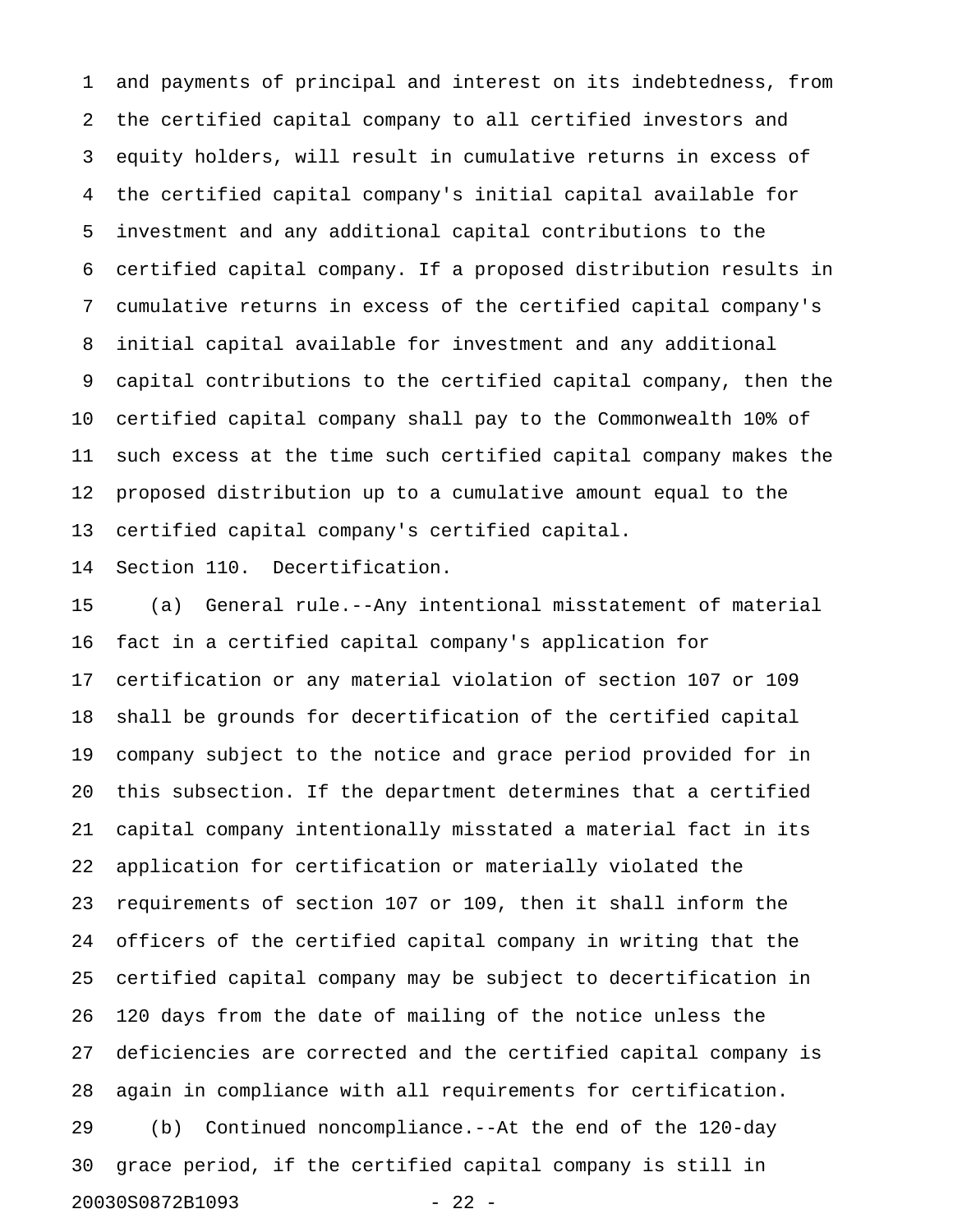1 and payments of principal and interest on its indebtedness, from 2 the certified capital company to all certified investors and 3 equity holders, will result in cumulative returns in excess of 4 the certified capital company's initial capital available for 5 investment and any additional capital contributions to the 6 certified capital company. If a proposed distribution results in 7 cumulative returns in excess of the certified capital company's 8 initial capital available for investment and any additional 9 capital contributions to the certified capital company, then the 10 certified capital company shall pay to the Commonwealth 10% of 11 such excess at the time such certified capital company makes the 12 proposed distribution up to a cumulative amount equal to the 13 certified capital company's certified capital.

14 Section 110. Decertification.

15 (a) General rule.--Any intentional misstatement of material 16 fact in a certified capital company's application for 17 certification or any material violation of section 107 or 109 18 shall be grounds for decertification of the certified capital 19 company subject to the notice and grace period provided for in 20 this subsection. If the department determines that a certified 21 capital company intentionally misstated a material fact in its 22 application for certification or materially violated the 23 requirements of section 107 or 109, then it shall inform the 24 officers of the certified capital company in writing that the 25 certified capital company may be subject to decertification in 26 120 days from the date of mailing of the notice unless the 27 deficiencies are corrected and the certified capital company is 28 again in compliance with all requirements for certification. 29 (b) Continued noncompliance.--At the end of the 120-day 30 grace period, if the certified capital company is still in 20030S0872B1093 - 22 -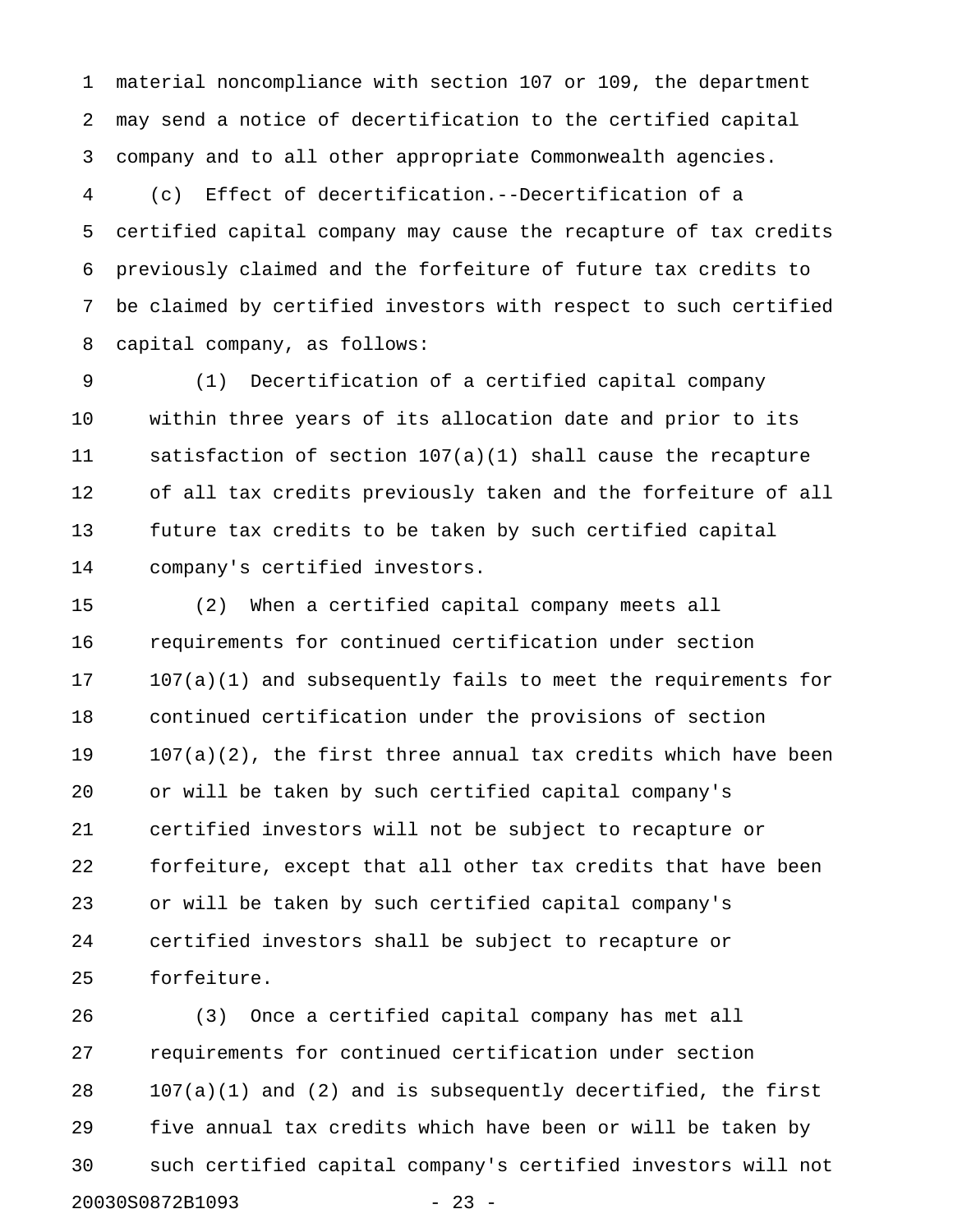1 material noncompliance with section 107 or 109, the department 2 may send a notice of decertification to the certified capital 3 company and to all other appropriate Commonwealth agencies.

4 (c) Effect of decertification.--Decertification of a 5 certified capital company may cause the recapture of tax credits 6 previously claimed and the forfeiture of future tax credits to 7 be claimed by certified investors with respect to such certified 8 capital company, as follows:

9 (1) Decertification of a certified capital company 10 within three years of its allocation date and prior to its 11 satisfaction of section 107(a)(1) shall cause the recapture 12 of all tax credits previously taken and the forfeiture of all 13 future tax credits to be taken by such certified capital 14 company's certified investors.

15 (2) When a certified capital company meets all 16 requirements for continued certification under section 17 107(a)(1) and subsequently fails to meet the requirements for 18 continued certification under the provisions of section 19 107(a)(2), the first three annual tax credits which have been 20 or will be taken by such certified capital company's 21 certified investors will not be subject to recapture or 22 forfeiture, except that all other tax credits that have been 23 or will be taken by such certified capital company's 24 certified investors shall be subject to recapture or 25 forfeiture.

26 (3) Once a certified capital company has met all 27 requirements for continued certification under section 28 107(a)(1) and (2) and is subsequently decertified, the first 29 five annual tax credits which have been or will be taken by 30 such certified capital company's certified investors will not 20030S0872B1093 - 23 -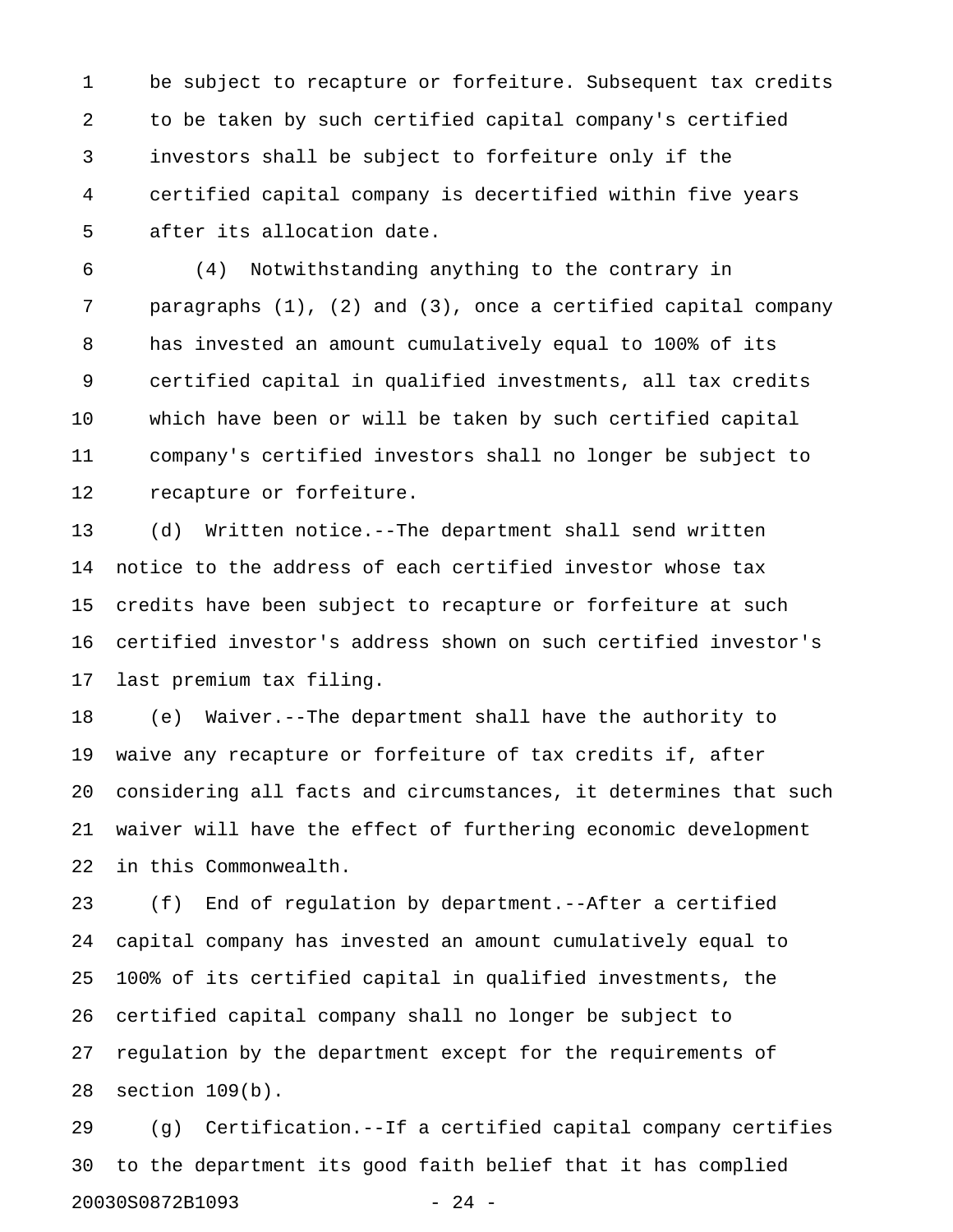1 be subject to recapture or forfeiture. Subsequent tax credits 2 to be taken by such certified capital company's certified 3 investors shall be subject to forfeiture only if the 4 certified capital company is decertified within five years 5 after its allocation date.

6 (4) Notwithstanding anything to the contrary in 7 paragraphs (1), (2) and (3), once a certified capital company 8 has invested an amount cumulatively equal to 100% of its 9 certified capital in qualified investments, all tax credits 10 which have been or will be taken by such certified capital 11 company's certified investors shall no longer be subject to 12 recapture or forfeiture.

13 (d) Written notice.--The department shall send written 14 notice to the address of each certified investor whose tax 15 credits have been subject to recapture or forfeiture at such 16 certified investor's address shown on such certified investor's 17 last premium tax filing.

18 (e) Waiver.--The department shall have the authority to 19 waive any recapture or forfeiture of tax credits if, after 20 considering all facts and circumstances, it determines that such 21 waiver will have the effect of furthering economic development 22 in this Commonwealth.

23 (f) End of regulation by department.--After a certified 24 capital company has invested an amount cumulatively equal to 25 100% of its certified capital in qualified investments, the 26 certified capital company shall no longer be subject to 27 regulation by the department except for the requirements of 28 section 109(b).

29 (g) Certification.--If a certified capital company certifies 30 to the department its good faith belief that it has complied 20030S0872B1093 - 24 -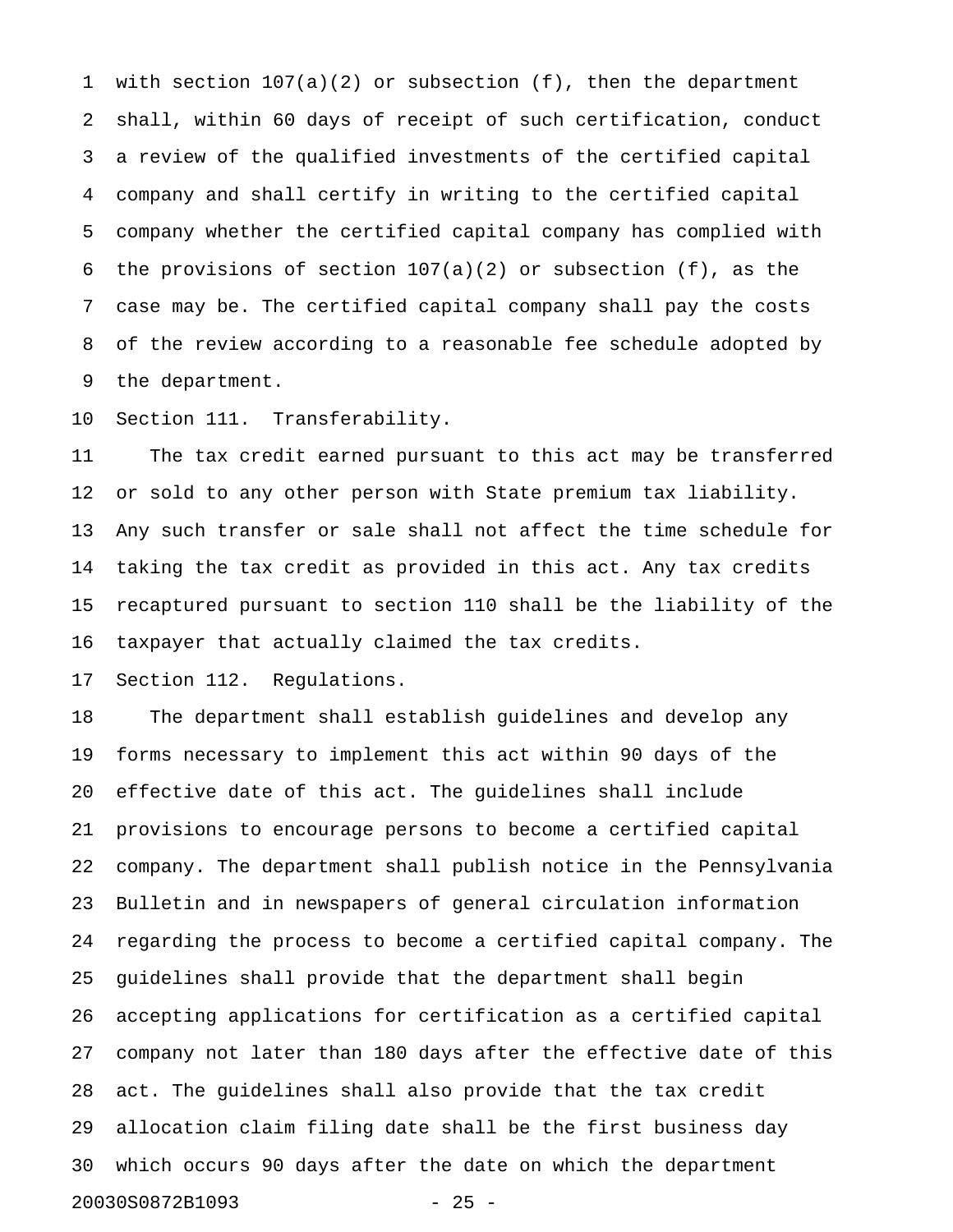1 with section 107(a)(2) or subsection (f), then the department 2 shall, within 60 days of receipt of such certification, conduct 3 a review of the qualified investments of the certified capital 4 company and shall certify in writing to the certified capital 5 company whether the certified capital company has complied with 6 the provisions of section  $107(a)(2)$  or subsection (f), as the 7 case may be. The certified capital company shall pay the costs 8 of the review according to a reasonable fee schedule adopted by 9 the department.

10 Section 111. Transferability.

11 The tax credit earned pursuant to this act may be transferred 12 or sold to any other person with State premium tax liability. 13 Any such transfer or sale shall not affect the time schedule for 14 taking the tax credit as provided in this act. Any tax credits 15 recaptured pursuant to section 110 shall be the liability of the 16 taxpayer that actually claimed the tax credits.

17 Section 112. Regulations.

18 The department shall establish guidelines and develop any 19 forms necessary to implement this act within 90 days of the 20 effective date of this act. The guidelines shall include 21 provisions to encourage persons to become a certified capital 22 company. The department shall publish notice in the Pennsylvania 23 Bulletin and in newspapers of general circulation information 24 regarding the process to become a certified capital company. The 25 guidelines shall provide that the department shall begin 26 accepting applications for certification as a certified capital 27 company not later than 180 days after the effective date of this 28 act. The guidelines shall also provide that the tax credit 29 allocation claim filing date shall be the first business day 30 which occurs 90 days after the date on which the department 20030S0872B1093 - 25 -